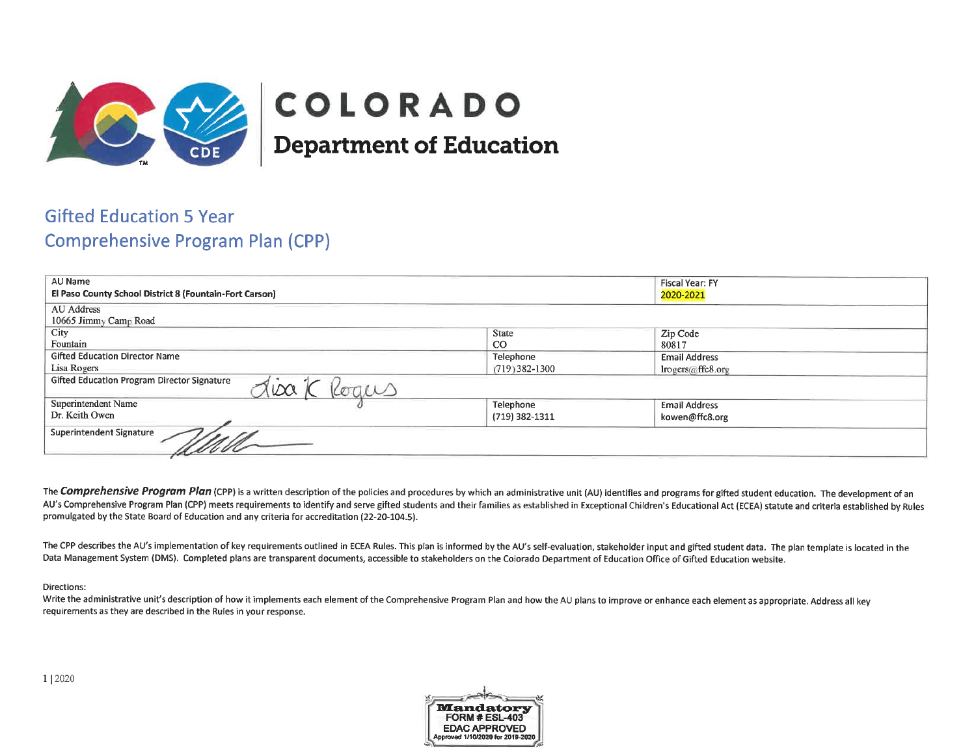

# COLORADO **Department of Education**

# **Gifted Education 5 Year Comprehensive Program Plan (CPP)**

| AU Name                                                            |                | <b>Fiscal Year: FY</b> |
|--------------------------------------------------------------------|----------------|------------------------|
| El Paso County School District 8 (Fountain-Fort Carson)            |                | 2020-2021              |
| AU Address                                                         |                |                        |
| 10665 Jimmy Camp Road                                              |                |                        |
| City                                                               | <b>State</b>   | Zip Code               |
| Fountain                                                           | $_{\rm CO}$    | 80817                  |
| <b>Gifted Education Director Name</b>                              | Telephone      | <b>Email Address</b>   |
| Lisa Rogers<br>(719) 382-1300                                      |                | lrogers@ffc8.org       |
| <b>Gifted Education Program Director Signature</b><br>100<br>kogus |                |                        |
| Superintendent Name                                                | Telephone      | <b>Email Address</b>   |
| Dr. Keith Owen                                                     | (719) 382-1311 | kowen@ffc8.org         |
| <b>Superintendent Signature</b><br>Well                            |                |                        |

The Comprehensive Program Plan (CPP) is a written description of the policies and procedures by which an administrative unit (AU) identifies and programs for gifted student education. The development of an AU's Comprehensive Program Plan (CPP) meets requirements to identify and serve gifted students and their families as established in Exceptional Children's Educational Act (ECEA) statute and criteria established by Rules promulgated by the State Board of Education and any criteria for accreditation (22-20-104.5).

The CPP describes the AU's implementation of key requirements outlined in ECEA Rules. This plan is informed by the AU's self-evaluation, stakeholder input and gifted student data. The plan template is located in the Data Management System (DMS). Completed plans are transparent documents, accessible to stakeholders on the Colorado Department of Education Office of Gifted Education website.

### Directions:

Write the administrative unit's description of how it implements each element of the Comprehensive Program Plan and how the AU plans to improve or enhance each element as appropriate. Address all key requirements as they are described in the Rules in your response.

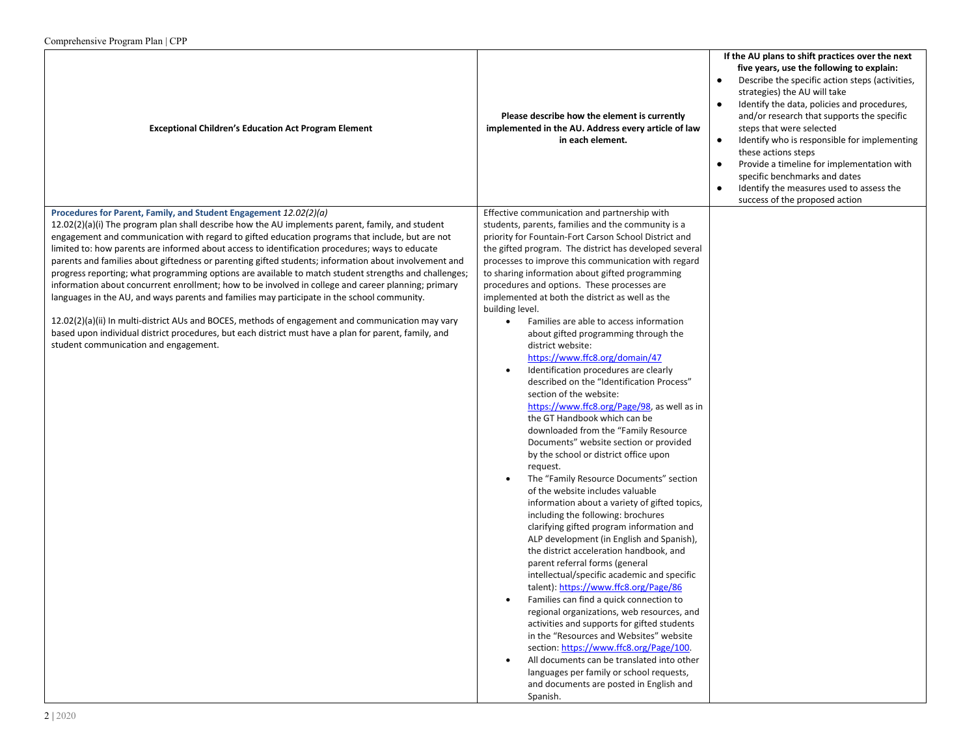| $\text{Computation}$ to $\text{Higgs}$ and $\text{Higgs}$                                                                                                                                                                                                                                                                                                                                                                                                                                                               |                                                                                                                                                                                                                                                                                                                                                                                                                                                                                                                                                                                                                                                                                                                                                                                                                                                                                                                                                                                                                                                                                                                                                                                                            |                                                                                                                                                                                                                                                                                                                                                                                                                                                                                                                                                                 |
|-------------------------------------------------------------------------------------------------------------------------------------------------------------------------------------------------------------------------------------------------------------------------------------------------------------------------------------------------------------------------------------------------------------------------------------------------------------------------------------------------------------------------|------------------------------------------------------------------------------------------------------------------------------------------------------------------------------------------------------------------------------------------------------------------------------------------------------------------------------------------------------------------------------------------------------------------------------------------------------------------------------------------------------------------------------------------------------------------------------------------------------------------------------------------------------------------------------------------------------------------------------------------------------------------------------------------------------------------------------------------------------------------------------------------------------------------------------------------------------------------------------------------------------------------------------------------------------------------------------------------------------------------------------------------------------------------------------------------------------------|-----------------------------------------------------------------------------------------------------------------------------------------------------------------------------------------------------------------------------------------------------------------------------------------------------------------------------------------------------------------------------------------------------------------------------------------------------------------------------------------------------------------------------------------------------------------|
| <b>Exceptional Children's Education Act Program Element</b>                                                                                                                                                                                                                                                                                                                                                                                                                                                             | Please describe how the element is currently<br>implemented in the AU. Address every article of law<br>in each element.                                                                                                                                                                                                                                                                                                                                                                                                                                                                                                                                                                                                                                                                                                                                                                                                                                                                                                                                                                                                                                                                                    | If the AU plans to shift practices over the next<br>five years, use the following to explain:<br>Describe the specific action steps (activities,<br>strategies) the AU will take<br>Identify the data, policies and procedures,<br>٠<br>and/or research that supports the specific<br>steps that were selected<br>Identify who is responsible for implementing<br>$\bullet$<br>these actions steps<br>Provide a timeline for implementation with<br>specific benchmarks and dates<br>Identify the measures used to assess the<br>success of the proposed action |
| limited to: how parents are informed about access to identification procedures; ways to educate<br>parents and families about giftedness or parenting gifted students; information about involvement and<br>progress reporting; what programming options are available to match student strengths and challenges;<br>information about concurrent enrollment; how to be involved in college and career planning; primary<br>languages in the AU, and ways parents and families may participate in the school community. | the gifted program. The district has developed several<br>processes to improve this communication with regard<br>to sharing information about gifted programming<br>procedures and options. These processes are<br>implemented at both the district as well as the                                                                                                                                                                                                                                                                                                                                                                                                                                                                                                                                                                                                                                                                                                                                                                                                                                                                                                                                         |                                                                                                                                                                                                                                                                                                                                                                                                                                                                                                                                                                 |
| 12.02(2)(a)(ii) In multi-district AUs and BOCES, methods of engagement and communication may vary<br>based upon individual district procedures, but each district must have a plan for parent, family, and<br>student communication and engagement.                                                                                                                                                                                                                                                                     | building level.<br>Families are able to access information<br>$\bullet$<br>about gifted programming through the<br>district website:<br>https://www.ffc8.org/domain/47<br>Identification procedures are clearly<br>$\bullet$<br>described on the "Identification Process"<br>section of the website:<br>https://www.ffc8.org/Page/98, as well as in<br>the GT Handbook which can be<br>downloaded from the "Family Resource<br>Documents" website section or provided<br>by the school or district office upon<br>request.<br>The "Family Resource Documents" section<br>of the website includes valuable<br>information about a variety of gifted topics,<br>including the following: brochures<br>clarifying gifted program information and<br>ALP development (in English and Spanish),<br>the district acceleration handbook, and<br>parent referral forms (general<br>intellectual/specific academic and specific<br>talent): https://www.ffc8.org/Page/86<br>Families can find a quick connection to<br>$\bullet$<br>regional organizations, web resources, and<br>activities and supports for gifted students<br>in the "Resources and Websites" website<br>section: https://www.ffc8.org/Page/100. |                                                                                                                                                                                                                                                                                                                                                                                                                                                                                                                                                                 |
|                                                                                                                                                                                                                                                                                                                                                                                                                                                                                                                         | All documents can be translated into other<br>languages per family or school requests,<br>and documents are posted in English and<br>Spanish.                                                                                                                                                                                                                                                                                                                                                                                                                                                                                                                                                                                                                                                                                                                                                                                                                                                                                                                                                                                                                                                              |                                                                                                                                                                                                                                                                                                                                                                                                                                                                                                                                                                 |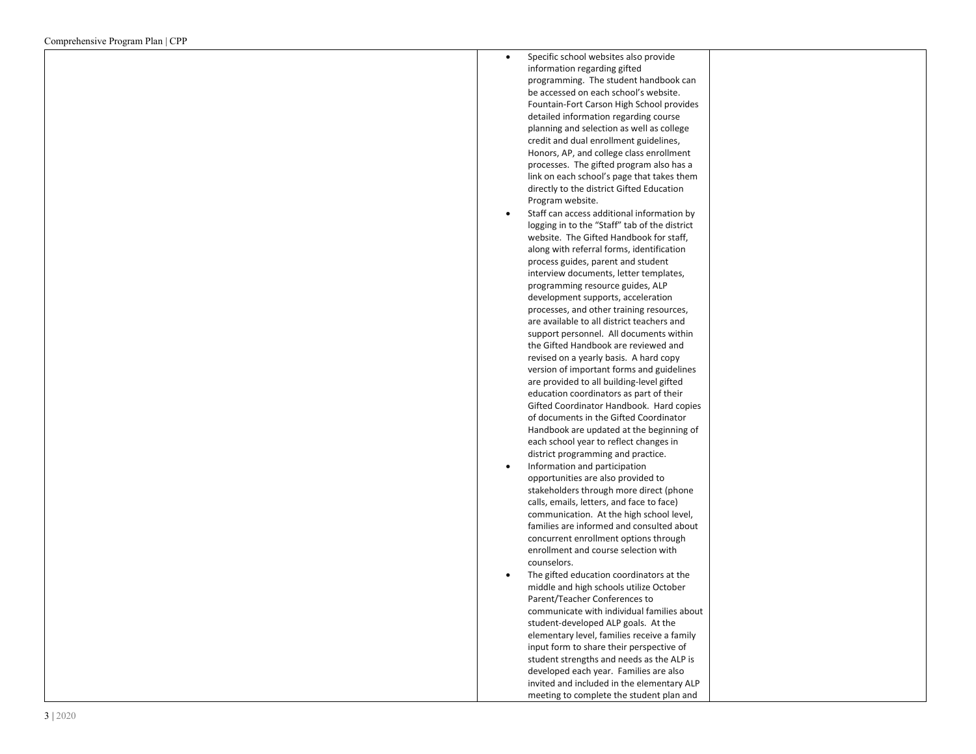| Specific school websites also provide<br>$\bullet$                                |  |
|-----------------------------------------------------------------------------------|--|
| information regarding gifted                                                      |  |
| programming. The student handbook can                                             |  |
| be accessed on each school's website.                                             |  |
| Fountain-Fort Carson High School provides                                         |  |
| detailed information regarding course                                             |  |
| planning and selection as well as college                                         |  |
| credit and dual enrollment guidelines,                                            |  |
| Honors, AP, and college class enrollment                                          |  |
| processes. The gifted program also has a                                          |  |
| link on each school's page that takes them                                        |  |
| directly to the district Gifted Education                                         |  |
| Program website.                                                                  |  |
|                                                                                   |  |
| Staff can access additional information by<br>$\bullet$                           |  |
| logging in to the "Staff" tab of the district                                     |  |
| website. The Gifted Handbook for staff,                                           |  |
| along with referral forms, identification                                         |  |
| process guides, parent and student                                                |  |
| interview documents, letter templates,                                            |  |
| programming resource guides, ALP                                                  |  |
| development supports, acceleration                                                |  |
| processes, and other training resources,                                          |  |
| are available to all district teachers and                                        |  |
| support personnel. All documents within                                           |  |
| the Gifted Handbook are reviewed and                                              |  |
| revised on a yearly basis. A hard copy                                            |  |
| version of important forms and guidelines                                         |  |
| are provided to all building-level gifted                                         |  |
| education coordinators as part of their                                           |  |
| Gifted Coordinator Handbook. Hard copies                                          |  |
| of documents in the Gifted Coordinator                                            |  |
| Handbook are updated at the beginning of                                          |  |
| each school year to reflect changes in                                            |  |
| district programming and practice.                                                |  |
| Information and participation<br>$\bullet$                                        |  |
| opportunities are also provided to                                                |  |
| stakeholders through more direct (phone                                           |  |
| calls, emails, letters, and face to face)                                         |  |
| communication. At the high school level,                                          |  |
| families are informed and consulted about                                         |  |
| concurrent enrollment options through                                             |  |
| enrollment and course selection with                                              |  |
| counselors.                                                                       |  |
| The gifted education coordinators at the                                          |  |
| middle and high schools utilize October                                           |  |
| Parent/Teacher Conferences to                                                     |  |
|                                                                                   |  |
| communicate with individual families about<br>student-developed ALP goals. At the |  |
|                                                                                   |  |
| elementary level, families receive a family                                       |  |
| input form to share their perspective of                                          |  |
| student strengths and needs as the ALP is                                         |  |
| developed each year. Families are also                                            |  |
| invited and included in the elementary ALP                                        |  |
| meeting to complete the student plan and                                          |  |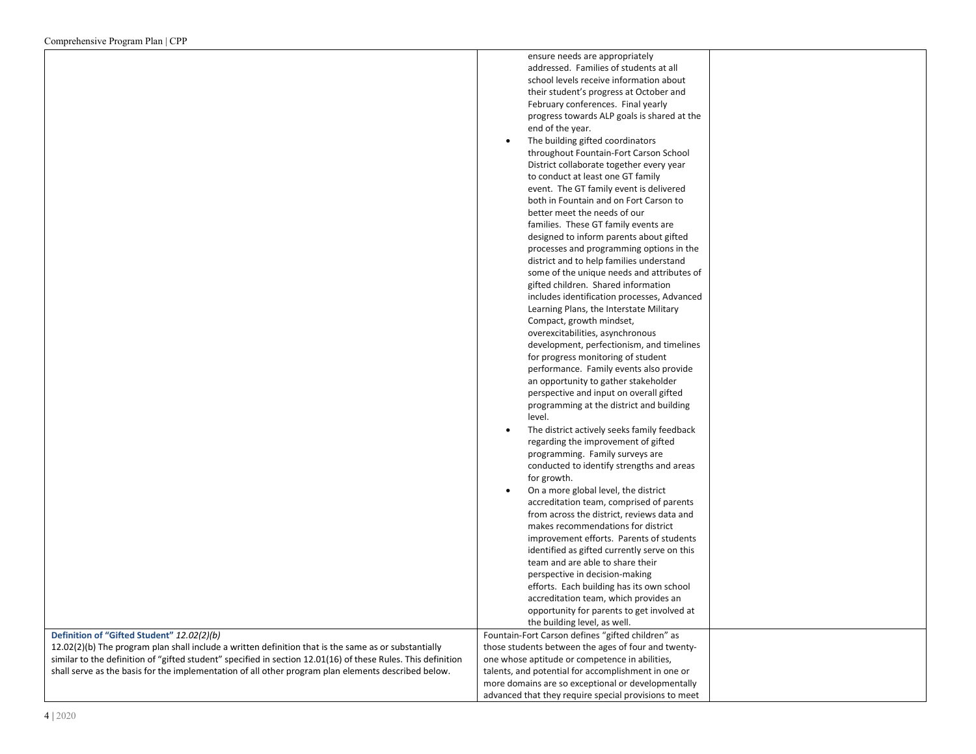|                                                                                                              | ensure needs are appropriately                               |  |
|--------------------------------------------------------------------------------------------------------------|--------------------------------------------------------------|--|
|                                                                                                              | addressed. Families of students at all                       |  |
|                                                                                                              | school levels receive information about                      |  |
|                                                                                                              | their student's progress at October and                      |  |
|                                                                                                              | February conferences. Final yearly                           |  |
|                                                                                                              | progress towards ALP goals is shared at the                  |  |
|                                                                                                              | end of the year.                                             |  |
|                                                                                                              | The building gifted coordinators<br>$\bullet$                |  |
|                                                                                                              | throughout Fountain-Fort Carson School                       |  |
|                                                                                                              | District collaborate together every year                     |  |
|                                                                                                              | to conduct at least one GT family                            |  |
|                                                                                                              | event. The GT family event is delivered                      |  |
|                                                                                                              | both in Fountain and on Fort Carson to                       |  |
|                                                                                                              | better meet the needs of our                                 |  |
|                                                                                                              | families. These GT family events are                         |  |
|                                                                                                              | designed to inform parents about gifted                      |  |
|                                                                                                              | processes and programming options in the                     |  |
|                                                                                                              | district and to help families understand                     |  |
|                                                                                                              | some of the unique needs and attributes of                   |  |
|                                                                                                              | gifted children. Shared information                          |  |
|                                                                                                              | includes identification processes, Advanced                  |  |
|                                                                                                              | Learning Plans, the Interstate Military                      |  |
|                                                                                                              |                                                              |  |
|                                                                                                              | Compact, growth mindset,<br>overexcitabilities, asynchronous |  |
|                                                                                                              |                                                              |  |
|                                                                                                              | development, perfectionism, and timelines                    |  |
|                                                                                                              | for progress monitoring of student                           |  |
|                                                                                                              | performance. Family events also provide                      |  |
|                                                                                                              | an opportunity to gather stakeholder                         |  |
|                                                                                                              | perspective and input on overall gifted                      |  |
|                                                                                                              | programming at the district and building                     |  |
|                                                                                                              | level.                                                       |  |
|                                                                                                              | The district actively seeks family feedback                  |  |
|                                                                                                              | regarding the improvement of gifted                          |  |
|                                                                                                              | programming. Family surveys are                              |  |
|                                                                                                              | conducted to identify strengths and areas                    |  |
|                                                                                                              | for growth.                                                  |  |
|                                                                                                              | On a more global level, the district<br>$\bullet$            |  |
|                                                                                                              | accreditation team, comprised of parents                     |  |
|                                                                                                              | from across the district, reviews data and                   |  |
|                                                                                                              | makes recommendations for district                           |  |
|                                                                                                              | improvement efforts. Parents of students                     |  |
|                                                                                                              | identified as gifted currently serve on this                 |  |
|                                                                                                              | team and are able to share their                             |  |
|                                                                                                              | perspective in decision-making                               |  |
|                                                                                                              | efforts. Each building has its own school                    |  |
|                                                                                                              | accreditation team, which provides an                        |  |
|                                                                                                              | opportunity for parents to get involved at                   |  |
|                                                                                                              | the building level, as well.                                 |  |
| Definition of "Gifted Student" 12.02(2)(b)                                                                   | Fountain-Fort Carson defines "gifted children" as            |  |
| 12.02(2)(b) The program plan shall include a written definition that is the same as or substantially         | those students between the ages of four and twenty-          |  |
| similar to the definition of "gifted student" specified in section 12.01(16) of these Rules. This definition | one whose aptitude or competence in abilities,               |  |
| shall serve as the basis for the implementation of all other program plan elements described below.          | talents, and potential for accomplishment in one or          |  |
|                                                                                                              | more domains are so exceptional or developmentally           |  |
|                                                                                                              | advanced that they require special provisions to meet        |  |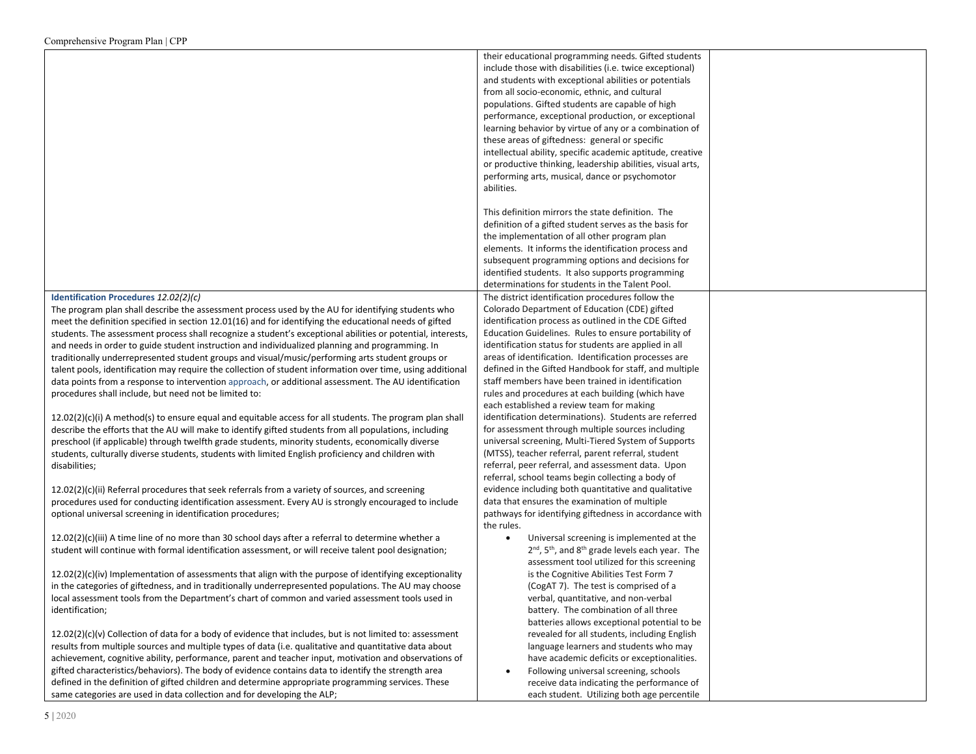|                                                                                                             | their educational programming needs. Gifted students                                |  |
|-------------------------------------------------------------------------------------------------------------|-------------------------------------------------------------------------------------|--|
|                                                                                                             | include those with disabilities (i.e. twice exceptional)                            |  |
|                                                                                                             |                                                                                     |  |
|                                                                                                             | and students with exceptional abilities or potentials                               |  |
|                                                                                                             | from all socio-economic, ethnic, and cultural                                       |  |
|                                                                                                             | populations. Gifted students are capable of high                                    |  |
|                                                                                                             | performance, exceptional production, or exceptional                                 |  |
|                                                                                                             | learning behavior by virtue of any or a combination of                              |  |
|                                                                                                             | these areas of giftedness: general or specific                                      |  |
|                                                                                                             | intellectual ability, specific academic aptitude, creative                          |  |
|                                                                                                             | or productive thinking, leadership abilities, visual arts,                          |  |
|                                                                                                             | performing arts, musical, dance or psychomotor                                      |  |
|                                                                                                             | abilities.                                                                          |  |
|                                                                                                             |                                                                                     |  |
|                                                                                                             | This definition mirrors the state definition. The                                   |  |
|                                                                                                             | definition of a gifted student serves as the basis for                              |  |
|                                                                                                             | the implementation of all other program plan                                        |  |
|                                                                                                             | elements. It informs the identification process and                                 |  |
|                                                                                                             |                                                                                     |  |
|                                                                                                             | subsequent programming options and decisions for                                    |  |
|                                                                                                             | identified students. It also supports programming                                   |  |
|                                                                                                             | determinations for students in the Talent Pool.                                     |  |
| Identification Procedures 12.02(2)(c)                                                                       | The district identification procedures follow the                                   |  |
| The program plan shall describe the assessment process used by the AU for identifying students who          | Colorado Department of Education (CDE) gifted                                       |  |
| meet the definition specified in section 12.01(16) and for identifying the educational needs of gifted      | identification process as outlined in the CDE Gifted                                |  |
| students. The assessment process shall recognize a student's exceptional abilities or potential, interests, | Education Guidelines. Rules to ensure portability of                                |  |
| and needs in order to guide student instruction and individualized planning and programming. In             | identification status for students are applied in all                               |  |
| traditionally underrepresented student groups and visual/music/performing arts student groups or            | areas of identification. Identification processes are                               |  |
| talent pools, identification may require the collection of student information over time, using additional  | defined in the Gifted Handbook for staff, and multiple                              |  |
| data points from a response to intervention approach, or additional assessment. The AU identification       | staff members have been trained in identification                                   |  |
| procedures shall include, but need not be limited to:                                                       | rules and procedures at each building (which have                                   |  |
|                                                                                                             | each established a review team for making                                           |  |
| $12.02(2)(c)(i)$ A method(s) to ensure equal and equitable access for all students. The program plan shall  | identification determinations). Students are referred                               |  |
| describe the efforts that the AU will make to identify gifted students from all populations, including      | for assessment through multiple sources including                                   |  |
| preschool (if applicable) through twelfth grade students, minority students, economically diverse           | universal screening, Multi-Tiered System of Supports                                |  |
| students, culturally diverse students, students with limited English proficiency and children with          | (MTSS), teacher referral, parent referral, student                                  |  |
| disabilities;                                                                                               | referral, peer referral, and assessment data. Upon                                  |  |
|                                                                                                             | referral, school teams begin collecting a body of                                   |  |
| 12.02(2)(c)(ii) Referral procedures that seek referrals from a variety of sources, and screening            | evidence including both quantitative and qualitative                                |  |
| procedures used for conducting identification assessment. Every AU is strongly encouraged to include        | data that ensures the examination of multiple                                       |  |
|                                                                                                             |                                                                                     |  |
| optional universal screening in identification procedures;                                                  | pathways for identifying giftedness in accordance with<br>the rules.                |  |
|                                                                                                             |                                                                                     |  |
| $12.02(2)(c)(iii)$ A time line of no more than 30 school days after a referral to determine whether a       | Universal screening is implemented at the                                           |  |
| student will continue with formal identification assessment, or will receive talent pool designation;       | 2 <sup>nd</sup> , 5 <sup>th</sup> , and 8 <sup>th</sup> grade levels each year. The |  |
|                                                                                                             | assessment tool utilized for this screening                                         |  |
| $12.02(2)(c)(iv)$ Implementation of assessments that align with the purpose of identifying exceptionality   | is the Cognitive Abilities Test Form 7                                              |  |
| in the categories of giftedness, and in traditionally underrepresented populations. The AU may choose       | (CogAT 7). The test is comprised of a                                               |  |
| local assessment tools from the Department's chart of common and varied assessment tools used in            | verbal, quantitative, and non-verbal                                                |  |
| identification;                                                                                             | battery. The combination of all three                                               |  |
|                                                                                                             | batteries allows exceptional potential to be                                        |  |
| $12.02(2)(c)(v)$ Collection of data for a body of evidence that includes, but is not limited to: assessment | revealed for all students, including English                                        |  |
| results from multiple sources and multiple types of data (i.e. qualitative and quantitative data about      | language learners and students who may                                              |  |
| achievement, cognitive ability, performance, parent and teacher input, motivation and observations of       | have academic deficits or exceptionalities.                                         |  |
| gifted characteristics/behaviors). The body of evidence contains data to identify the strength area         | Following universal screening, schools                                              |  |
| defined in the definition of gifted children and determine appropriate programming services. These          | receive data indicating the performance of                                          |  |
| same categories are used in data collection and for developing the ALP;                                     | each student. Utilizing both age percentile                                         |  |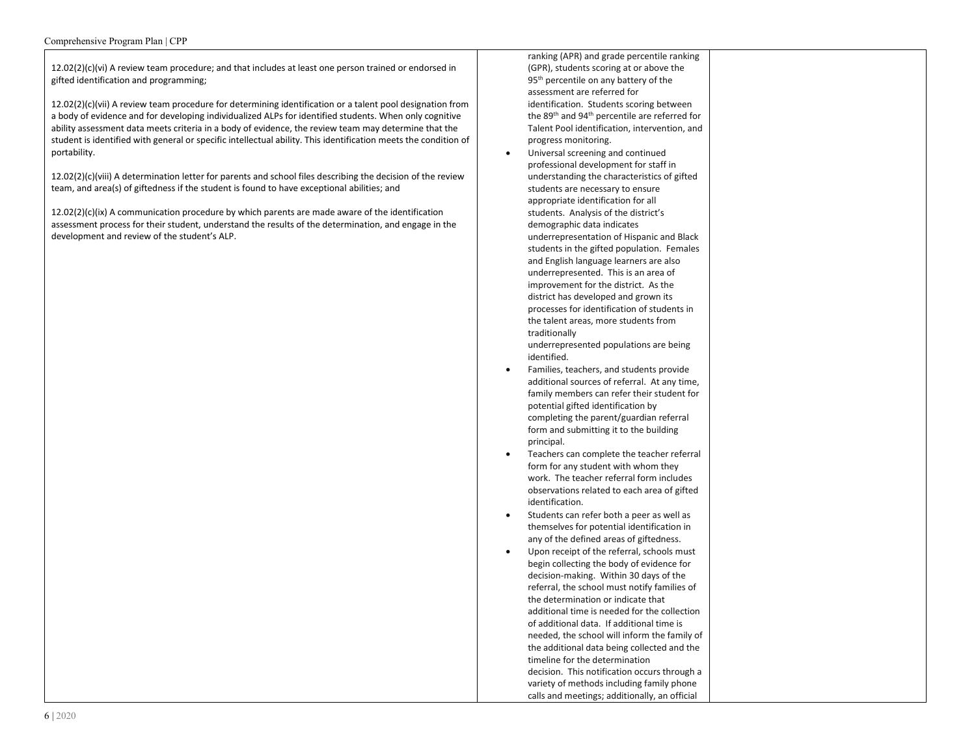12.02(2)(c)(vi) A review team procedure; and that includes at least one person trained or endorsed in gifted identification and programming;

12.02(2)(c)(vii) A review team procedure for determining identification or a talent pool designation from a body of evidence and for developing individualized ALPs for identified students. When only cognitive ability assessment data meets criteria in a body of evidence, the review team may determine that the student is identified with general or specific intellectual ability. This identification meets the condition of portability.

12.02(2)(c)(viii) A determination letter for parents and school files describing the decision of the review team, and area(s) of giftedness if the student is found to have exceptional abilities; and

 $12.02(2)(c)(ix)$  A communication procedure by which parents are made aware of the identification assessment process for their student, understand the results of the determination, and engage in the development and review of the student's ALP.

ranking (APR) and grade percentile ranking (GPR), students scoring at or above the 95<sup>th</sup> percentile on any battery of the assessment are referred for identification. Students scoring between the 89th and 94th percentile are referred for Talent Pool identification, intervention, and progress monitoring.

• Universal screening and continued professional development for staff in understanding the characteristics of gifted students are necessary to ensure appropriate identification for all students. Analysis of the district's demographic data indicates underrepresentation of Hispanic and Black students in the gifted population. Females and English language learners are also underrepresented. This is an area of improvement for the district. As the district has developed and grown its processes for identification of students in the talent areas, more students from traditionally

underrepresented populations are being identified.

- Families, teachers, and students provide additional sources of referral. At any time, family members can refer their student for potential gifted identification by completing the parent/guardian referral form and submitting it to the building principal.
- Teachers can complete the teacher referral form for any student with whom they work. The teacher referral form includes observations related to each area of gifted identification.
- Students can refer both a peer as well as themselves for potential identification in any of the defined areas of giftedness.
- Upon receipt of the referral, schools must begin collecting the body of evidence for decision-making. Within 30 days of the referral, the school must notify families of the determination or indicate that additional time is needed for the collection of additional data. If additional time is needed, the school will inform the family of the additional data being collected and the timeline for the determination decision. This notification occurs through a variety of methods including family phone calls and meetings; additionally, an official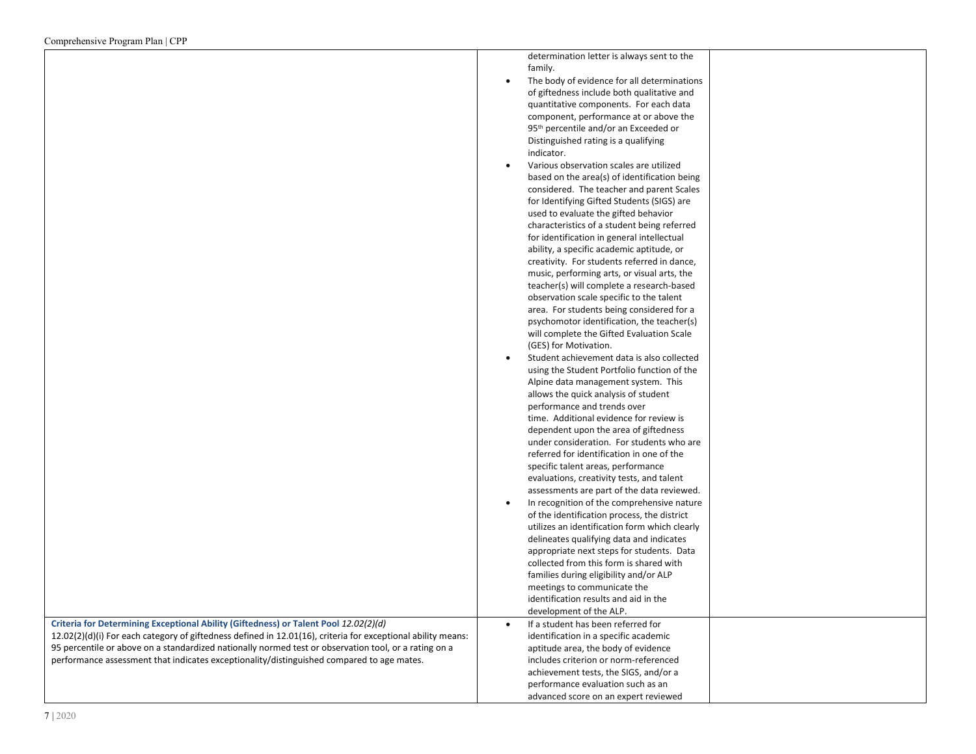determination letter is always sent to the family.

• The body of evidence for all determinations of giftedness include both qualitative and quantitative components. For each data component, performance at or above the 95<sup>th</sup> percentile and/or an Exceeded or Distinguished rating is a qualifying indicator.

| Various observation scales are utilized      |  |
|----------------------------------------------|--|
| based on the area(s) of identification being |  |
| considered. The teacher and parent Scales    |  |
| for Identifying Gifted Students (SIGS) are   |  |
| used to evaluate the gifted behavior         |  |
| characteristics of a student being referred  |  |
| for identification in general intellectual   |  |
| ability, a specific academic aptitude, or    |  |
| creativity. For students referred in dance,  |  |
| music, performing arts, or visual arts, the  |  |
| teacher(s) will complete a research-based    |  |
| observation scale specific to the talent     |  |
| area. For students being considered for a    |  |
| psychomotor identification, the teacher(s)   |  |
| will complete the Gifted Evaluation Scale    |  |
| (GES) for Motivation.                        |  |
| Student achievement data is also collected   |  |
| using the Student Portfolio function of the  |  |
| Alpine data management system. This          |  |
| allows the quick analysis of student         |  |
| performance and trends over                  |  |
| time. Additional evidence for review is      |  |
| dependent upon the area of giftedness        |  |
| under consideration. For students who are    |  |
| referred for identification in one of the    |  |
| specific talent areas, performance           |  |
| evaluations, creativity tests, and talent    |  |
| assessments are part of the data reviewed.   |  |

• In recognition of the comprehensive nature of the identification process, the district utilizes an identification form which clearly delineates qualifying data and indicates appropriate next steps for students. Data collected from this form is shared with families during eligibility and/or ALP meetings to communicate the identification results and aid in the development of the ALP. • If a student has been referred for identification in a specific academic aptitude area, the body of evidence includes criterion or norm-referenced

> achievement tests, the SIGS, and/or a performance evaluation such as an advanced score on an expert reviewed

**Criteria for Determining Exceptional Ability (Giftedness) or Talent Pool** *12.02(2)(d)*

12.02(2)(d)(i) For each category of giftedness defined in 12.01(16), criteria for exceptional ability means: 95 percentile or above on a standardized nationally normed test or observation tool, or a rating on a performance assessment that indicates exceptionality/distinguished compared to age mates.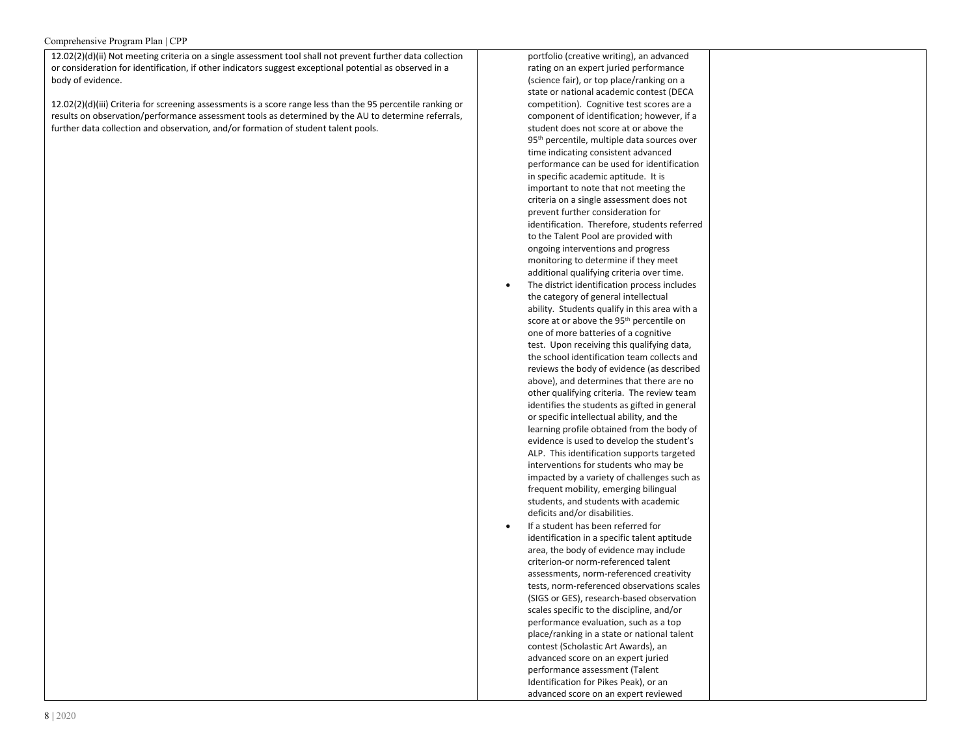#### Comprehensive Program Plan | CPP

12.02(2)(d)(ii) Not meeting criteria on a single assessment tool shall not prevent further data collection or consideration for identification, if other indicators suggest exceptional potential as observed in a body of evidence.

12.02(2)(d)(iii) Criteria for screening assessments is a score range less than the 95 percentile ranking or results on observation/performance assessment tools as determined by the AU to determine referrals, further data collection and observation, and/or formation of student talent pools.

rating on an expert juried performance (science fair), or top place/ranking on a state or national academic contest (DECA competition). Cognitive test scores are a component of identification; however, if a student does not score at or above the 95<sup>th</sup> percentile, multiple data sources over time indicating consistent advanced performance can be used for identification in specific academic aptitude. It is important to note that not meeting the criteria on a single assessment does not prevent further consideration for identification. Therefore, students referred to the Talent Pool are provided with ongoing interventions and progress monitoring to determine if they meet additional qualifying criteria over time. The district identification process includes the category of general intellectual ability. Students qualify in this area with a score at or above the 95th percentile on one of more batteries of a cognitive test. Upon receiving this qualifying data, the school identification team collects and reviews the body of evidence (as described above), and determines that there are no other qualifying criteria. The review team identifies the students as gifted in general or specific intellectual ability, and the learning profile obtained from the body of evidence is used to develop the student's ALP. This identification supports targeted interventions for students who may be impacted by a variety of challenges such as frequent mobility, emerging bilingual students, and students with academic deficits and/or disabilities. If a student has been referred for identification in a specific talent aptitude area, the body of evidence may include criterion-or norm-referenced talent assessments, norm-referenced creativity

portfolio (creative writing), an advanced

tests, norm-referenced observations scales (SIGS or GES), research-based observation scales specific to the discipline, and/or performance evaluation, such as a top place/ranking in a state or national talent contest (Scholastic Art Awards), an advanced score on an expert juried performance assessment (Talent Identification for Pikes Peak), or an advanced score on an expert reviewed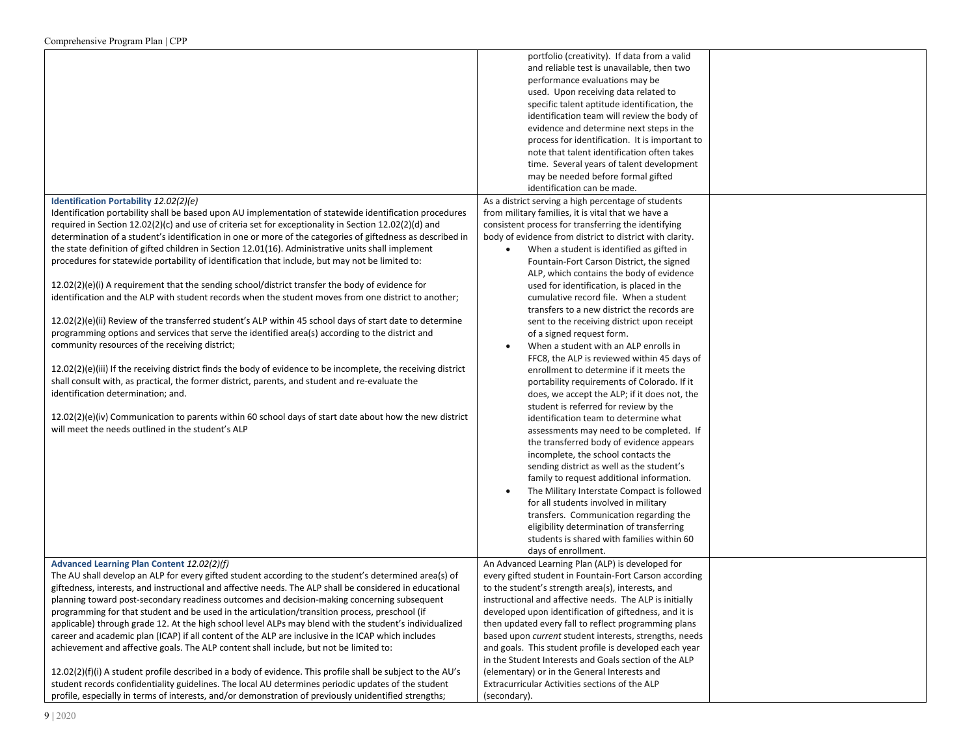|                                                                                                                | portfolio (creativity). If data from a valid             |  |
|----------------------------------------------------------------------------------------------------------------|----------------------------------------------------------|--|
|                                                                                                                | and reliable test is unavailable, then two               |  |
|                                                                                                                | performance evaluations may be                           |  |
|                                                                                                                | used. Upon receiving data related to                     |  |
|                                                                                                                | specific talent aptitude identification, the             |  |
|                                                                                                                | identification team will review the body of              |  |
|                                                                                                                | evidence and determine next steps in the                 |  |
|                                                                                                                | process for identification. It is important to           |  |
|                                                                                                                | note that talent identification often takes              |  |
|                                                                                                                | time. Several years of talent development                |  |
|                                                                                                                | may be needed before formal gifted                       |  |
|                                                                                                                | identification can be made.                              |  |
| Identification Portability 12.02(2)(e)                                                                         | As a district serving a high percentage of students      |  |
| Identification portability shall be based upon AU implementation of statewide identification procedures        | from military families, it is vital that we have a       |  |
| required in Section 12.02(2)(c) and use of criteria set for exceptionality in Section 12.02(2)(d) and          | consistent process for transferring the identifying      |  |
| determination of a student's identification in one or more of the categories of giftedness as described in     | body of evidence from district to district with clarity. |  |
| the state definition of gifted children in Section 12.01(16). Administrative units shall implement             | When a student is identified as gifted in                |  |
| procedures for statewide portability of identification that include, but may not be limited to:                | Fountain-Fort Carson District, the signed                |  |
|                                                                                                                | ALP, which contains the body of evidence                 |  |
| 12.02(2)(e)(i) A requirement that the sending school/district transfer the body of evidence for                | used for identification, is placed in the                |  |
| identification and the ALP with student records when the student moves from one district to another;           | cumulative record file. When a student                   |  |
|                                                                                                                | transfers to a new district the records are              |  |
| 12.02(2)(e)(ii) Review of the transferred student's ALP within 45 school days of start date to determine       | sent to the receiving district upon receipt              |  |
| programming options and services that serve the identified area(s) according to the district and               | of a signed request form.                                |  |
| community resources of the receiving district;                                                                 | When a student with an ALP enrolls in                    |  |
|                                                                                                                | FFC8, the ALP is reviewed within 45 days of              |  |
| 12.02(2)(e)(iii) If the receiving district finds the body of evidence to be incomplete, the receiving district | enrollment to determine if it meets the                  |  |
| shall consult with, as practical, the former district, parents, and student and re-evaluate the                | portability requirements of Colorado. If it              |  |
| identification determination; and.                                                                             | does, we accept the ALP; if it does not, the             |  |
|                                                                                                                | student is referred for review by the                    |  |
| $12.02(2)(e)(iv)$ Communication to parents within 60 school days of start date about how the new district      | identification team to determine what                    |  |
| will meet the needs outlined in the student's ALP                                                              | assessments may need to be completed. If                 |  |
|                                                                                                                | the transferred body of evidence appears                 |  |
|                                                                                                                | incomplete, the school contacts the                      |  |
|                                                                                                                | sending district as well as the student's                |  |
|                                                                                                                | family to request additional information.                |  |
|                                                                                                                | The Military Interstate Compact is followed              |  |
|                                                                                                                | for all students involved in military                    |  |
|                                                                                                                | transfers. Communication regarding the                   |  |
|                                                                                                                | eligibility determination of transferring                |  |
|                                                                                                                | students is shared with families within 60               |  |
|                                                                                                                | days of enrollment.                                      |  |
| Advanced Learning Plan Content 12.02(2)(f)                                                                     | An Advanced Learning Plan (ALP) is developed for         |  |
| The AU shall develop an ALP for every gifted student according to the student's determined area(s) of          | every gifted student in Fountain-Fort Carson according   |  |
| giftedness, interests, and instructional and affective needs. The ALP shall be considered in educational       | to the student's strength area(s), interests, and        |  |
| planning toward post-secondary readiness outcomes and decision-making concerning subsequent                    | instructional and affective needs. The ALP is initially  |  |
| programming for that student and be used in the articulation/transition process, preschool (if                 | developed upon identification of giftedness, and it is   |  |
| applicable) through grade 12. At the high school level ALPs may blend with the student's individualized        | then updated every fall to reflect programming plans     |  |
| career and academic plan (ICAP) if all content of the ALP are inclusive in the ICAP which includes             | based upon current student interests, strengths, needs   |  |
| achievement and affective goals. The ALP content shall include, but not be limited to:                         | and goals. This student profile is developed each year   |  |
|                                                                                                                | in the Student Interests and Goals section of the ALP    |  |
| $12.02(2)(f)(i)$ A student profile described in a body of evidence. This profile shall be subject to the AU's  | (elementary) or in the General Interests and             |  |
| student records confidentiality guidelines. The local AU determines periodic updates of the student            | Extracurricular Activities sections of the ALP           |  |
| profile, especially in terms of interests, and/or demonstration of previously unidentified strengths;          | (secondary).                                             |  |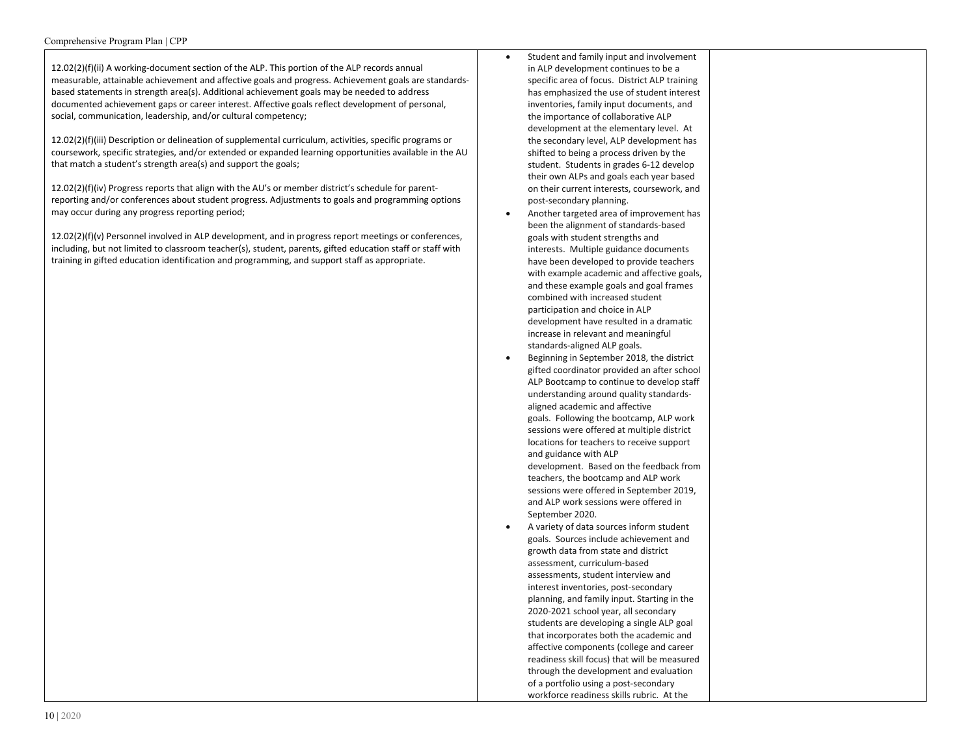12.02(2)(f)(ii) A working-document section of the ALP. This portion of the ALP records annual measurable, attainable achievement and affective goals and progress. Achievement goals are standardsbased statements in strength area(s). Additional achievement goals may be needed to address documented achievement gaps or career interest. Affective goals reflect development of personal, social, communication, leadership, and/or cultural competency;

12.02(2)(f)(iii) Description or delineation of supplemental curriculum, activities, specific programs or coursework, specific strategies, and/or extended or expanded learning opportunities available in the AU that match a student's strength area(s) and support the goals;

12.02(2)(f)(iv) Progress reports that align with the AU's or member district's schedule for parentreporting and/or conferences about student progress. Adjustments to goals and programming options may occur during any progress reporting period;

12.02(2)(f)(v) Personnel involved in ALP development, and in progress report meetings or conferences, including, but not limited to classroom teacher(s), student, parents, gifted education staff or staff with training in gifted education identification and programming, and support staff as appropriate.

- Student and family input and involvement in ALP development continues to be a specific area of focus. District ALP training has emphasized the use of student interest inventories, family input documents, and the importance of collaborative ALP development at the elementary level. At the secondary level, ALP development has shifted to being a process driven by the student. Students in grades 6-12 develop their own ALPs and goals each year based on their current interests, coursework, and post-secondary planning.
- Another targeted area of improvement has been the alignment of standards-based goals with student strengths and interests. Multiple guidance documents have been developed to provide teachers with example academic and affective goals, and these example goals and goal frames combined with increased student participation and choice in ALP development have resulted in a dramatic increase in relevant and meaningful standards-aligned ALP goals.
- Beginning in September 2018, the district gifted coordinator provided an after school ALP Bootcamp to continue to develop staff understanding around quality standardsaligned academic and affective goals. Following the bootcamp, ALP work sessions were offered at multiple district locations for teachers to receive support and guidance with ALP development. Based on the feedback from teachers, the bootcamp and ALP work sessions were offered in September 2019, and ALP work sessions were offered in September 2020.
- A variety of data sources inform student goals. Sources include achievement and growth data from state and district assessment, curriculum-based assessments, student interview and interest inventories, post-secondary planning, and family input. Starting in the 2020-2021 school year, all secondary students are developing a single ALP goal that incorporates both the academic and affective components (college and career readiness skill focus) that will be measured through the development and evaluation of a portfolio using a post-secondary workforce readiness skills rubric. At the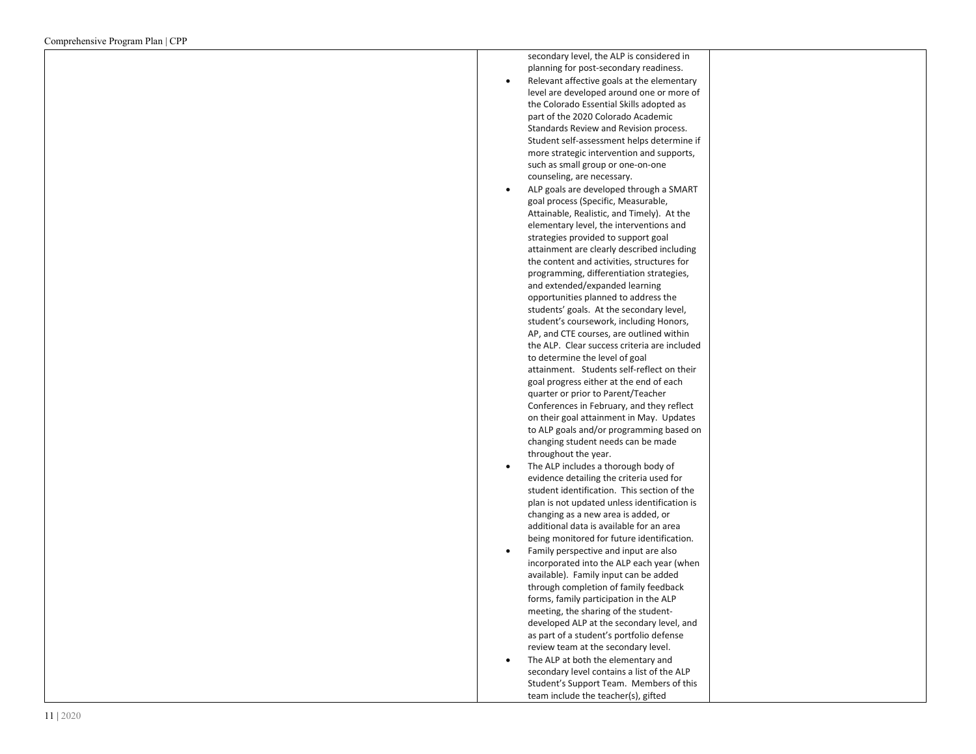| secondary level, the ALP is considered in    |
|----------------------------------------------|
| planning for post-secondary readiness.       |
| Relevant affective goals at the elementary   |
| level are developed around one or more of    |
| the Colorado Essential Skills adopted as     |
| part of the 2020 Colorado Academic           |
|                                              |
| Standards Review and Revision process.       |
| Student self-assessment helps determine if   |
| more strategic intervention and supports,    |
| such as small group or one-on-one            |
| counseling, are necessary.                   |
| ALP goals are developed through a SMART      |
| goal process (Specific, Measurable,          |
| Attainable, Realistic, and Timely). At the   |
| elementary level, the interventions and      |
| strategies provided to support goal          |
| attainment are clearly described including   |
| the content and activities, structures for   |
| programming, differentiation strategies,     |
| and extended/expanded learning               |
| opportunities planned to address the         |
| students' goals. At the secondary level,     |
| student's coursework, including Honors,      |
| AP, and CTE courses, are outlined within     |
| the ALP. Clear success criteria are included |
| to determine the level of goal               |
| attainment. Students self-reflect on their   |
|                                              |
| goal progress either at the end of each      |
| quarter or prior to Parent/Teacher           |
| Conferences in February, and they reflect    |
| on their goal attainment in May. Updates     |
| to ALP goals and/or programming based on     |
| changing student needs can be made           |
| throughout the year.                         |
| The ALP includes a thorough body of          |
| evidence detailing the criteria used for     |
| student identification. This section of the  |
| plan is not updated unless identification is |
| changing as a new area is added, or          |
| additional data is available for an area     |
| being monitored for future identification.   |
| Family perspective and input are also        |
| incorporated into the ALP each year (when    |
| available). Family input can be added        |
| through completion of family feedback        |
| forms, family participation in the ALP       |
| meeting, the sharing of the student-         |
| developed ALP at the secondary level, and    |
| as part of a student's portfolio defense     |
| review team at the secondary level.          |
| The ALP at both the elementary and           |
| secondary level contains a list of the ALP   |
|                                              |
| Student's Support Team. Members of this      |

team include the teacher(s), gifted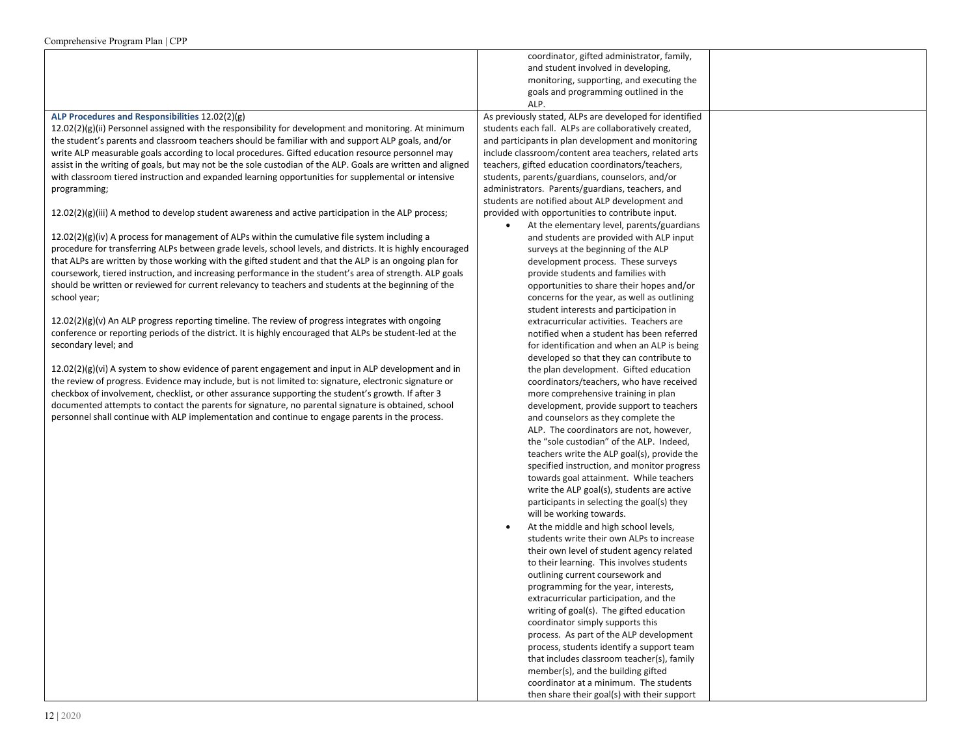|                                                                                                                                                                                                                    | coordinator, gifted administrator, family,                                                                   |
|--------------------------------------------------------------------------------------------------------------------------------------------------------------------------------------------------------------------|--------------------------------------------------------------------------------------------------------------|
|                                                                                                                                                                                                                    | and student involved in developing,                                                                          |
|                                                                                                                                                                                                                    | monitoring, supporting, and executing the                                                                    |
|                                                                                                                                                                                                                    | goals and programming outlined in the<br>ALP.                                                                |
| ALP Procedures and Responsibilities 12.02(2)(g)                                                                                                                                                                    | As previously stated, ALPs are developed for identified                                                      |
|                                                                                                                                                                                                                    |                                                                                                              |
| 12.02(2)(g)(ii) Personnel assigned with the responsibility for development and monitoring. At minimum<br>the student's parents and classroom teachers should be familiar with and support ALP goals, and/or        | students each fall. ALPs are collaboratively created,<br>and participants in plan development and monitoring |
| write ALP measurable goals according to local procedures. Gifted education resource personnel may                                                                                                                  | include classroom/content area teachers, related arts                                                        |
|                                                                                                                                                                                                                    | teachers, gifted education coordinators/teachers,                                                            |
| assist in the writing of goals, but may not be the sole custodian of the ALP. Goals are written and aligned<br>with classroom tiered instruction and expanded learning opportunities for supplemental or intensive | students, parents/guardians, counselors, and/or                                                              |
| programming;                                                                                                                                                                                                       | administrators. Parents/guardians, teachers, and                                                             |
|                                                                                                                                                                                                                    | students are notified about ALP development and                                                              |
| $12.02(2)(g)(iii)$ A method to develop student awareness and active participation in the ALP process;                                                                                                              | provided with opportunities to contribute input.                                                             |
|                                                                                                                                                                                                                    | At the elementary level, parents/guardians                                                                   |
| $12.02(2)(g)(iv)$ A process for management of ALPs within the cumulative file system including a                                                                                                                   | and students are provided with ALP input                                                                     |
| procedure for transferring ALPs between grade levels, school levels, and districts. It is highly encouraged                                                                                                        | surveys at the beginning of the ALP                                                                          |
| that ALPs are written by those working with the gifted student and that the ALP is an ongoing plan for                                                                                                             | development process. These surveys                                                                           |
| coursework, tiered instruction, and increasing performance in the student's area of strength. ALP goals                                                                                                            | provide students and families with                                                                           |
| should be written or reviewed for current relevancy to teachers and students at the beginning of the                                                                                                               | opportunities to share their hopes and/or                                                                    |
| school year;                                                                                                                                                                                                       | concerns for the year, as well as outlining                                                                  |
|                                                                                                                                                                                                                    | student interests and participation in                                                                       |
| $12.02(2)(g)(v)$ An ALP progress reporting timeline. The review of progress integrates with ongoing                                                                                                                | extracurricular activities. Teachers are                                                                     |
| conference or reporting periods of the district. It is highly encouraged that ALPs be student-led at the                                                                                                           | notified when a student has been referred                                                                    |
| secondary level; and                                                                                                                                                                                               | for identification and when an ALP is being                                                                  |
|                                                                                                                                                                                                                    | developed so that they can contribute to                                                                     |
| $12.02(2)(g)(vi)$ A system to show evidence of parent engagement and input in ALP development and in                                                                                                               | the plan development. Gifted education                                                                       |
| the review of progress. Evidence may include, but is not limited to: signature, electronic signature or                                                                                                            | coordinators/teachers, who have received                                                                     |
| checkbox of involvement, checklist, or other assurance supporting the student's growth. If after 3                                                                                                                 | more comprehensive training in plan                                                                          |
| documented attempts to contact the parents for signature, no parental signature is obtained, school                                                                                                                | development, provide support to teachers                                                                     |
| personnel shall continue with ALP implementation and continue to engage parents in the process.                                                                                                                    | and counselors as they complete the                                                                          |
|                                                                                                                                                                                                                    | ALP. The coordinators are not, however,                                                                      |
|                                                                                                                                                                                                                    | the "sole custodian" of the ALP. Indeed,                                                                     |
|                                                                                                                                                                                                                    | teachers write the ALP goal(s), provide the                                                                  |
|                                                                                                                                                                                                                    | specified instruction, and monitor progress                                                                  |
|                                                                                                                                                                                                                    | towards goal attainment. While teachers                                                                      |
|                                                                                                                                                                                                                    | write the ALP goal(s), students are active                                                                   |
|                                                                                                                                                                                                                    | participants in selecting the goal(s) they                                                                   |
|                                                                                                                                                                                                                    | will be working towards.                                                                                     |
|                                                                                                                                                                                                                    | At the middle and high school levels,<br>$\bullet$                                                           |
|                                                                                                                                                                                                                    | students write their own ALPs to increase                                                                    |
|                                                                                                                                                                                                                    | their own level of student agency related                                                                    |
|                                                                                                                                                                                                                    | to their learning. This involves students                                                                    |
|                                                                                                                                                                                                                    | outlining current coursework and<br>programming for the year, interests,                                     |
|                                                                                                                                                                                                                    | extracurricular participation, and the                                                                       |
|                                                                                                                                                                                                                    | writing of goal(s). The gifted education                                                                     |
|                                                                                                                                                                                                                    | coordinator simply supports this                                                                             |
|                                                                                                                                                                                                                    | process. As part of the ALP development                                                                      |
|                                                                                                                                                                                                                    | process, students identify a support team                                                                    |
|                                                                                                                                                                                                                    | that includes classroom teacher(s), family                                                                   |
|                                                                                                                                                                                                                    | member(s), and the building gifted                                                                           |
|                                                                                                                                                                                                                    | coordinator at a minimum. The students                                                                       |
|                                                                                                                                                                                                                    | then share their goal(s) with their support                                                                  |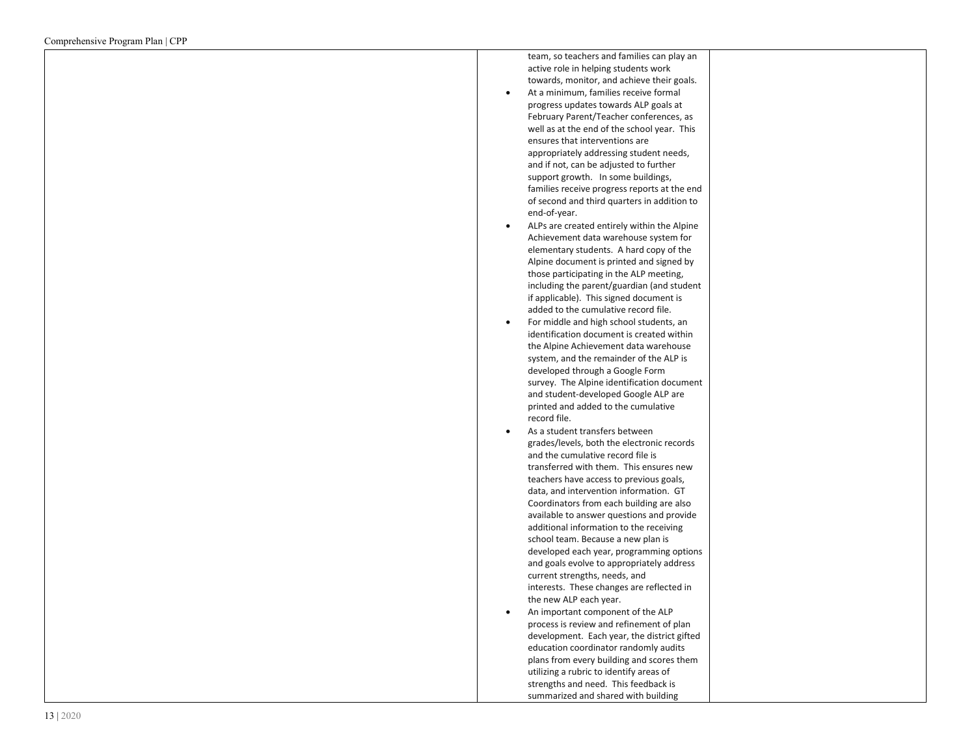| team, so teachers and families can play an   |  |
|----------------------------------------------|--|
| active role in helping students work         |  |
| towards, monitor, and achieve their goals.   |  |
| At a minimum, families receive formal        |  |
| progress updates towards ALP goals at        |  |
| February Parent/Teacher conferences, as      |  |
| well as at the end of the school year. This  |  |
| ensures that interventions are               |  |
| appropriately addressing student needs,      |  |
| and if not, can be adjusted to further       |  |
| support growth. In some buildings,           |  |
| families receive progress reports at the end |  |
| of second and third quarters in addition to  |  |
| end-of-year.                                 |  |
| ALPs are created entirely within the Alpine  |  |
| Achievement data warehouse system for        |  |
| elementary students. A hard copy of the      |  |
| Alpine document is printed and signed by     |  |
| those participating in the ALP meeting,      |  |
| including the parent/guardian (and student   |  |
| if applicable). This signed document is      |  |
| added to the cumulative record file.         |  |
| For middle and high school students, an      |  |
| identification document is created within    |  |
| the Alpine Achievement data warehouse        |  |
| system, and the remainder of the ALP is      |  |
| developed through a Google Form              |  |
| survey. The Alpine identification document   |  |
| and student-developed Google ALP are         |  |
| printed and added to the cumulative          |  |
| record file.                                 |  |
| As a student transfers between               |  |
| grades/levels, both the electronic records   |  |
| and the cumulative record file is            |  |
| transferred with them. This ensures new      |  |
|                                              |  |
| teachers have access to previous goals,      |  |
| data, and intervention information. GT       |  |
| Coordinators from each building are also     |  |
| available to answer questions and provide    |  |
| additional information to the receiving      |  |
| school team. Because a new plan is           |  |
| developed each year, programming options     |  |
| and goals evolve to appropriately address    |  |
| current strengths, needs, and                |  |
| interests. These changes are reflected in    |  |
| the new ALP each year.                       |  |
| An important component of the ALP            |  |
| process is review and refinement of plan     |  |
| development. Each year, the district gifted  |  |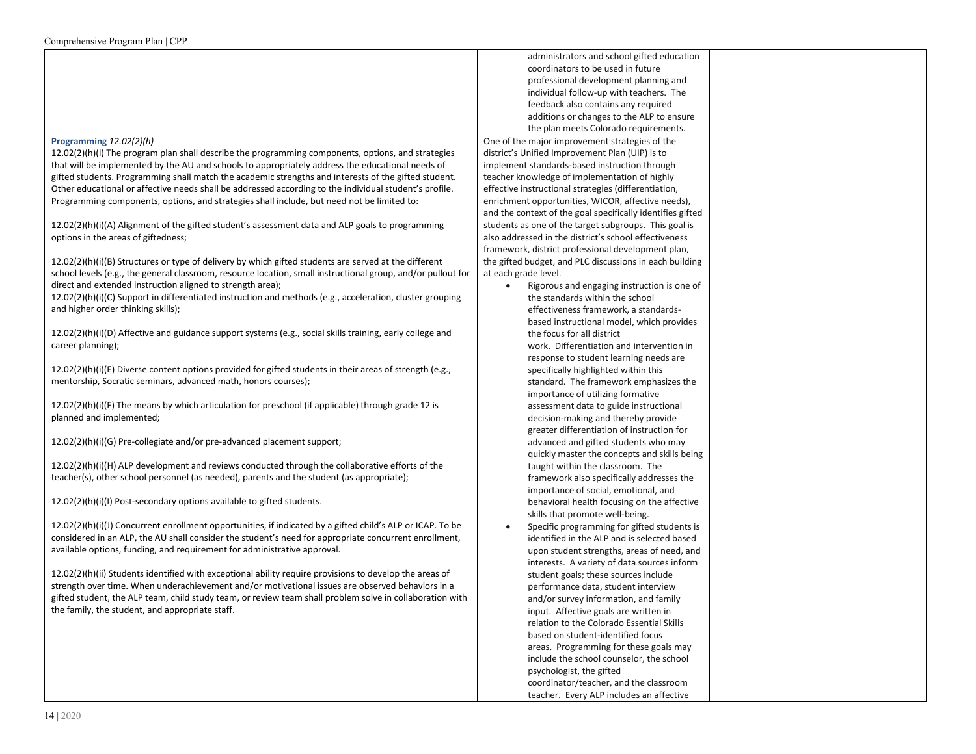|                                                                                                              | administrators and school gifted education                 |  |
|--------------------------------------------------------------------------------------------------------------|------------------------------------------------------------|--|
|                                                                                                              | coordinators to be used in future                          |  |
|                                                                                                              | professional development planning and                      |  |
|                                                                                                              | individual follow-up with teachers. The                    |  |
|                                                                                                              | feedback also contains any required                        |  |
|                                                                                                              | additions or changes to the ALP to ensure                  |  |
|                                                                                                              | the plan meets Colorado requirements.                      |  |
| Programming 12.02(2)(h)                                                                                      | One of the major improvement strategies of the             |  |
| $12.02(2)(h)(i)$ The program plan shall describe the programming components, options, and strategies         | district's Unified Improvement Plan (UIP) is to            |  |
| that will be implemented by the AU and schools to appropriately address the educational needs of             | implement standards-based instruction through              |  |
| gifted students. Programming shall match the academic strengths and interests of the gifted student.         | teacher knowledge of implementation of highly              |  |
| Other educational or affective needs shall be addressed according to the individual student's profile.       | effective instructional strategies (differentiation,       |  |
|                                                                                                              | enrichment opportunities, WICOR, affective needs),         |  |
| Programming components, options, and strategies shall include, but need not be limited to:                   | and the context of the goal specifically identifies gifted |  |
|                                                                                                              | students as one of the target subgroups. This goal is      |  |
| $12.02(2)(h)(i)(A)$ Alignment of the gifted student's assessment data and ALP goals to programming           |                                                            |  |
| options in the areas of giftedness;                                                                          | also addressed in the district's school effectiveness      |  |
|                                                                                                              | framework, district professional development plan,         |  |
| $12.02(2)(h)(i)(B)$ Structures or type of delivery by which gifted students are served at the different      | the gifted budget, and PLC discussions in each building    |  |
| school levels (e.g., the general classroom, resource location, small instructional group, and/or pullout for | at each grade level.                                       |  |
| direct and extended instruction aligned to strength area);                                                   | Rigorous and engaging instruction is one of                |  |
| 12.02(2)(h)(i)(C) Support in differentiated instruction and methods (e.g., acceleration, cluster grouping    | the standards within the school                            |  |
| and higher order thinking skills);                                                                           | effectiveness framework, a standards-                      |  |
|                                                                                                              | based instructional model, which provides                  |  |
| 12.02(2)(h)(i)(D) Affective and guidance support systems (e.g., social skills training, early college and    | the focus for all district                                 |  |
| career planning);                                                                                            | work. Differentiation and intervention in                  |  |
|                                                                                                              | response to student learning needs are                     |  |
| 12.02(2)(h)(i)(E) Diverse content options provided for gifted students in their areas of strength (e.g.,     | specifically highlighted within this                       |  |
| mentorship, Socratic seminars, advanced math, honors courses);                                               | standard. The framework emphasizes the                     |  |
|                                                                                                              | importance of utilizing formative                          |  |
| $12.02(2)(h)(i)(F)$ The means by which articulation for preschool (if applicable) through grade 12 is        | assessment data to guide instructional                     |  |
| planned and implemented;                                                                                     | decision-making and thereby provide                        |  |
|                                                                                                              | greater differentiation of instruction for                 |  |
| 12.02(2)(h)(i)(G) Pre-collegiate and/or pre-advanced placement support;                                      | advanced and gifted students who may                       |  |
|                                                                                                              | quickly master the concepts and skills being               |  |
| $12.02(2)(h)(i)(H)$ ALP development and reviews conducted through the collaborative efforts of the           | taught within the classroom. The                           |  |
| teacher(s), other school personnel (as needed), parents and the student (as appropriate);                    | framework also specifically addresses the                  |  |
|                                                                                                              | importance of social, emotional, and                       |  |
| 12.02(2)(h)(i)(l) Post-secondary options available to gifted students.                                       | behavioral health focusing on the affective                |  |
|                                                                                                              | skills that promote well-being.                            |  |
| 12.02(2)(h)(i)(J) Concurrent enrollment opportunities, if indicated by a gifted child's ALP or ICAP. To be   | Specific programming for gifted students is                |  |
| considered in an ALP, the AU shall consider the student's need for appropriate concurrent enrollment,        | identified in the ALP and is selected based                |  |
| available options, funding, and requirement for administrative approval.                                     | upon student strengths, areas of need, and                 |  |
|                                                                                                              | interests. A variety of data sources inform                |  |
| 12.02(2)(h)(ii) Students identified with exceptional ability require provisions to develop the areas of      | student goals; these sources include                       |  |
| strength over time. When underachievement and/or motivational issues are observed behaviors in a             | performance data, student interview                        |  |
| gifted student, the ALP team, child study team, or review team shall problem solve in collaboration with     | and/or survey information, and family                      |  |
| the family, the student, and appropriate staff.                                                              | input. Affective goals are written in                      |  |
|                                                                                                              | relation to the Colorado Essential Skills                  |  |
|                                                                                                              | based on student-identified focus                          |  |
|                                                                                                              | areas. Programming for these goals may                     |  |
|                                                                                                              | include the school counselor, the school                   |  |
|                                                                                                              | psychologist, the gifted                                   |  |
|                                                                                                              | coordinator/teacher, and the classroom                     |  |
|                                                                                                              | teacher. Every ALP includes an affective                   |  |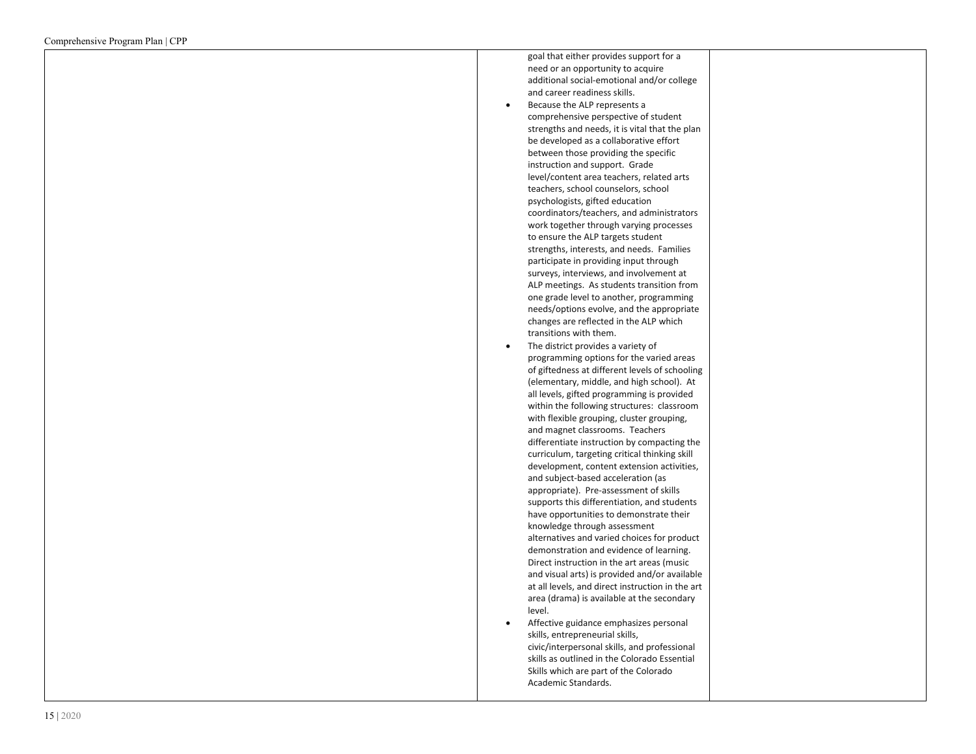| goal that either provides support for a          |
|--------------------------------------------------|
| need or an opportunity to acquire                |
| additional social-emotional and/or college       |
| and career readiness skills.                     |
| Because the ALP represents a                     |
| comprehensive perspective of student             |
| strengths and needs, it is vital that the plan   |
| be developed as a collaborative effort           |
| between those providing the specific             |
| instruction and support. Grade                   |
| level/content area teachers, related arts        |
| teachers, school counselors, school              |
| psychologists, gifted education                  |
| coordinators/teachers, and administrators        |
| work together through varying processes          |
| to ensure the ALP targets student                |
| strengths, interests, and needs. Families        |
| participate in providing input through           |
| surveys, interviews, and involvement at          |
| ALP meetings. As students transition from        |
| one grade level to another, programming          |
| needs/options evolve, and the appropriate        |
| changes are reflected in the ALP which           |
| transitions with them.                           |
| The district provides a variety of               |
| programming options for the varied areas         |
| of giftedness at different levels of schooling   |
| (elementary, middle, and high school). At        |
| all levels, gifted programming is provided       |
| within the following structures: classroom       |
| with flexible grouping, cluster grouping,        |
| and magnet classrooms. Teachers                  |
| differentiate instruction by compacting the      |
| curriculum, targeting critical thinking skill    |
| development, content extension activities,       |
| and subject-based acceleration (as               |
| appropriate). Pre-assessment of skills           |
| supports this differentiation, and students      |
| have opportunities to demonstrate their          |
| knowledge through assessment                     |
| alternatives and varied choices for product      |
| demonstration and evidence of learning.          |
| Direct instruction in the art areas (music       |
| and visual arts) is provided and/or available    |
| at all levels, and direct instruction in the art |
| area (drama) is available at the secondary       |
| level.                                           |
| Affective guidance emphasizes personal           |
| skills, entrepreneurial skills,                  |
| civic/interpersonal skills, and professional     |
| skills as outlined in the Colorado Essential     |

Skills which are part of the Colorado

Academic Standards.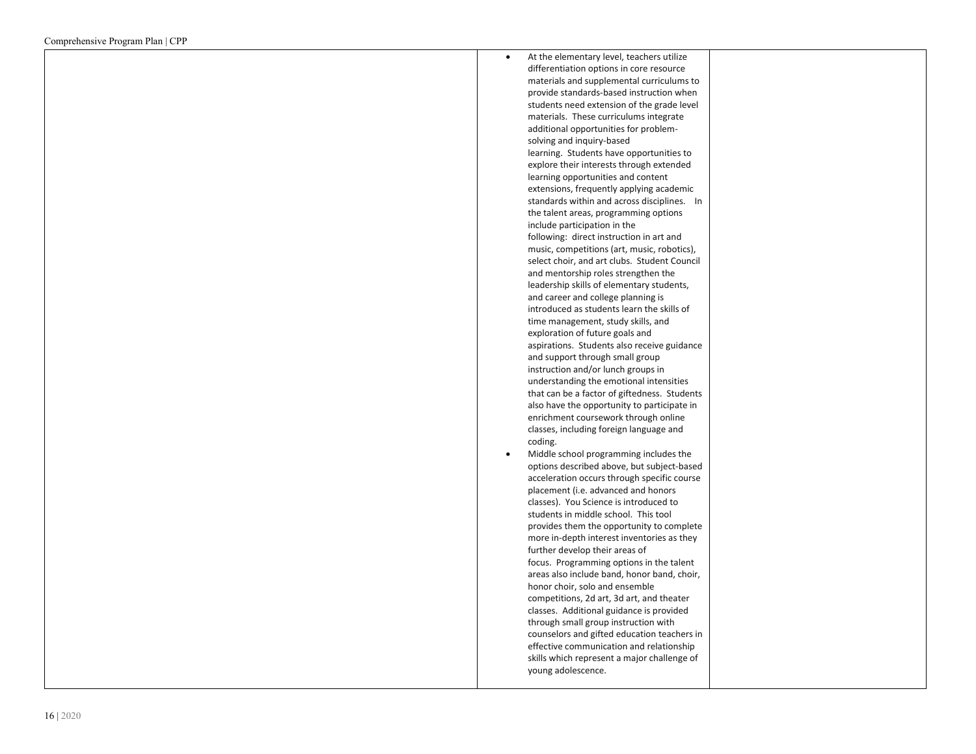| At the elementary level, teachers utilize<br>differentiation options in core resource<br>materials and supplemental curriculums to<br>provide standards-based instruction when<br>students need extension of the grade level<br>materials. These curriculums integrate<br>additional opportunities for problem-<br>solving and inquiry-based<br>learning. Students have opportunities to<br>explore their interests through extended<br>learning opportunities and content<br>extensions, frequently applying academic<br>standards within and across disciplines.<br>In<br>the talent areas, programming options<br>include participation in the<br>following: direct instruction in art and |  |
|-----------------------------------------------------------------------------------------------------------------------------------------------------------------------------------------------------------------------------------------------------------------------------------------------------------------------------------------------------------------------------------------------------------------------------------------------------------------------------------------------------------------------------------------------------------------------------------------------------------------------------------------------------------------------------------------------|--|
| music, competitions (art, music, robotics),<br>select choir, and art clubs. Student Council<br>and mentorship roles strengthen the<br>leadership skills of elementary students,<br>and career and college planning is<br>introduced as students learn the skills of                                                                                                                                                                                                                                                                                                                                                                                                                           |  |
| time management, study skills, and<br>exploration of future goals and<br>aspirations. Students also receive guidance<br>and support through small group<br>instruction and/or lunch groups in<br>understanding the emotional intensities                                                                                                                                                                                                                                                                                                                                                                                                                                                      |  |
| that can be a factor of giftedness. Students<br>also have the opportunity to participate in<br>enrichment coursework through online<br>classes, including foreign language and<br>coding.                                                                                                                                                                                                                                                                                                                                                                                                                                                                                                     |  |
| Middle school programming includes the<br>options described above, but subject-based<br>acceleration occurs through specific course<br>placement (i.e. advanced and honors<br>classes). You Science is introduced to<br>students in middle school. This tool<br>provides them the opportunity to complete<br>more in-depth interest inventories as they<br>further develop their areas of<br>focus. Programming options in the talent<br>areas also include band, honor band, choir,<br>honor choir, solo and ensemble                                                                                                                                                                        |  |
| competitions, 2d art, 3d art, and theater<br>classes. Additional guidance is provided<br>through small group instruction with<br>counselors and gifted education teachers in<br>effective communication and relationship<br>skills which represent a major challenge of<br>young adolescence.                                                                                                                                                                                                                                                                                                                                                                                                 |  |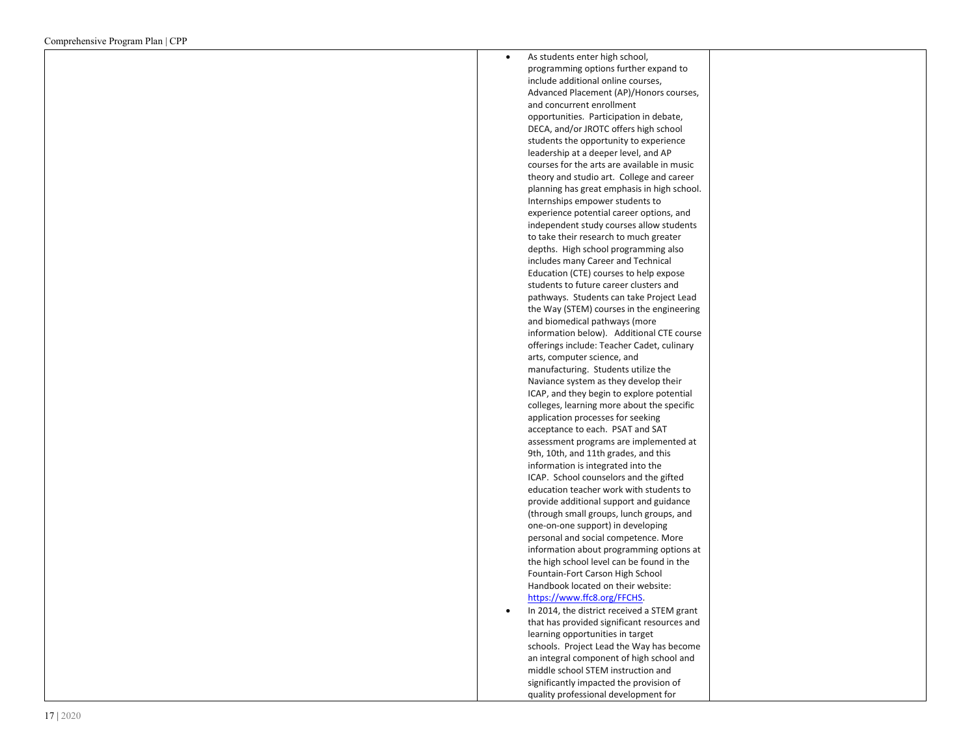| As students enter high school,                                             |  |
|----------------------------------------------------------------------------|--|
| programming options further expand to                                      |  |
| include additional online courses,                                         |  |
| Advanced Placement (AP)/Honors courses,                                    |  |
| and concurrent enrollment                                                  |  |
| opportunities. Participation in debate,                                    |  |
| DECA, and/or JROTC offers high school                                      |  |
| students the opportunity to experience                                     |  |
| leadership at a deeper level, and AP                                       |  |
| courses for the arts are available in music                                |  |
| theory and studio art. College and career                                  |  |
| planning has great emphasis in high school.                                |  |
| Internships empower students to                                            |  |
| experience potential career options, and                                   |  |
| independent study courses allow students                                   |  |
| to take their research to much greater                                     |  |
| depths. High school programming also                                       |  |
| includes many Career and Technical                                         |  |
| Education (CTE) courses to help expose                                     |  |
| students to future career clusters and                                     |  |
| pathways. Students can take Project Lead                                   |  |
| the Way (STEM) courses in the engineering<br>and biomedical pathways (more |  |
| information below). Additional CTE course                                  |  |
| offerings include: Teacher Cadet, culinary                                 |  |
| arts, computer science, and                                                |  |
| manufacturing. Students utilize the                                        |  |
| Naviance system as they develop their                                      |  |
| ICAP, and they begin to explore potential                                  |  |
| colleges, learning more about the specific                                 |  |
| application processes for seeking                                          |  |
| acceptance to each. PSAT and SAT                                           |  |
| assessment programs are implemented at                                     |  |
| 9th, 10th, and 11th grades, and this                                       |  |
| information is integrated into the                                         |  |
| ICAP. School counselors and the gifted                                     |  |
| education teacher work with students to                                    |  |
| provide additional support and guidance                                    |  |
| (through small groups, lunch groups, and                                   |  |
| one-on-one support) in developing                                          |  |
| personal and social competence. More                                       |  |
| information about programming options at                                   |  |
| the high school level can be found in the                                  |  |
| Fountain-Fort Carson High School                                           |  |
| Handbook located on their website:                                         |  |
| https://www.ffc8.org/FFCHS.                                                |  |
| In 2014, the district received a STEM grant                                |  |
| that has provided significant resources and                                |  |
| learning opportunities in target                                           |  |
| schools. Project Lead the Way has become                                   |  |
| an integral component of high school and                                   |  |
| middle school STEM instruction and                                         |  |
| significantly impacted the provision of                                    |  |
| quality professional development for                                       |  |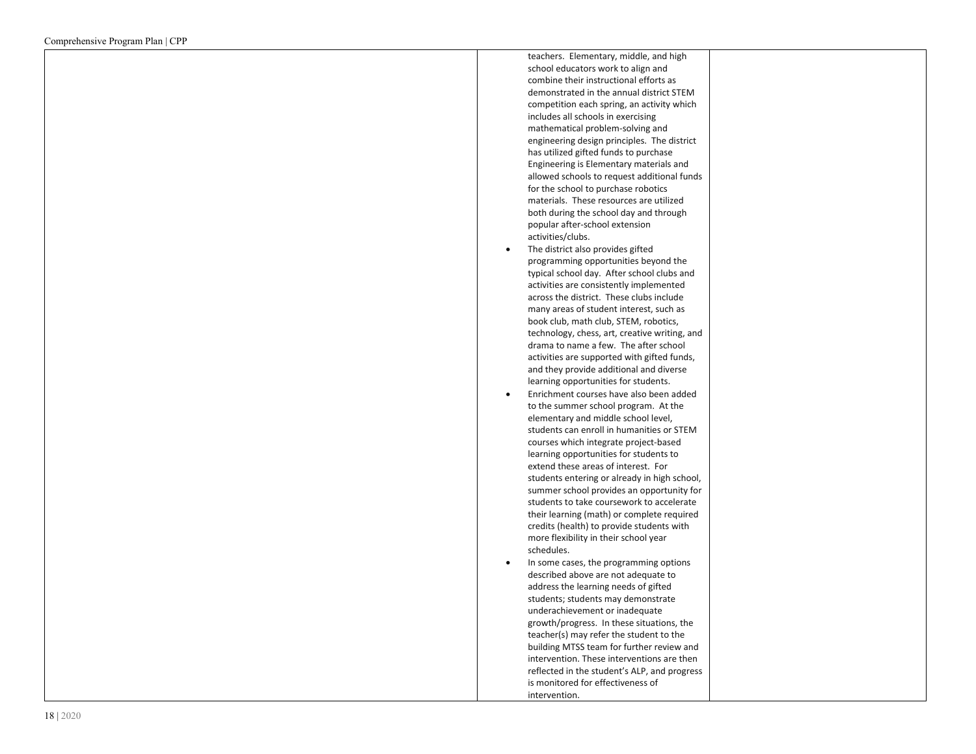| teachers. Elementary, middle, and high        |
|-----------------------------------------------|
| school educators work to align and            |
| combine their instructional efforts as        |
| demonstrated in the annual district STEM      |
| competition each spring, an activity which    |
| includes all schools in exercising            |
| mathematical problem-solving and              |
| engineering design principles. The district   |
| has utilized gifted funds to purchase         |
| Engineering is Elementary materials and       |
| allowed schools to request additional funds   |
| for the school to purchase robotics           |
| materials. These resources are utilized       |
| both during the school day and through        |
| popular after-school extension                |
| activities/clubs.                             |
| The district also provides gifted             |
| programming opportunities beyond the          |
| typical school day. After school clubs and    |
| activities are consistently implemented       |
| across the district. These clubs include      |
| many areas of student interest, such as       |
| book club, math club, STEM, robotics,         |
| technology, chess, art, creative writing, and |
| drama to name a few. The after school         |
| activities are supported with gifted funds,   |
| and they provide additional and diverse       |
| learning opportunities for students.          |
| Enrichment courses have also been added       |
| to the summer school program. At the          |
| elementary and middle school level,           |
| students can enroll in humanities or STEM     |
| courses which integrate project-based         |
| learning opportunities for students to        |
| extend these areas of interest. For           |
| students entering or already in high school,  |
| summer school provides an opportunity for     |
| students to take coursework to accelerate     |
| their learning (math) or complete required    |
| credits (health) to provide students with     |
| more flexibility in their school year         |
| schedules.                                    |
| In some cases, the programming options        |
| described above are not adequate to           |
| address the learning needs of gifted          |
| students; students may demonstrate            |
| underachievement or inadequate                |
| growth/progress. In these situations, the     |
| teacher(s) may refer the student to the       |
| building MTSS team for further review and     |
| intervention. These interventions are then    |
| reflected in the student's ALP, and progress  |
| is monitored for effectiveness of             |
| intervention.                                 |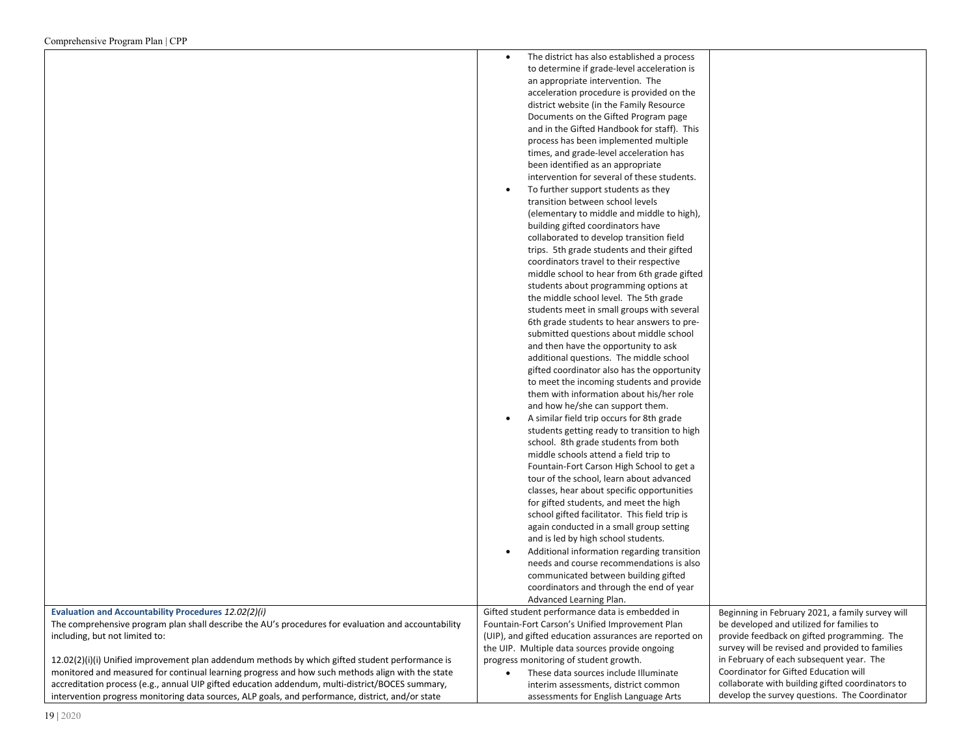| $\epsilon$ comprendition $\epsilon$ is a region in the $\epsilon$ region in $\epsilon$              |                                                                              |                                                  |
|-----------------------------------------------------------------------------------------------------|------------------------------------------------------------------------------|--------------------------------------------------|
|                                                                                                     | The district has also established a process<br>$\bullet$                     |                                                  |
|                                                                                                     | to determine if grade-level acceleration is                                  |                                                  |
|                                                                                                     | an appropriate intervention. The                                             |                                                  |
|                                                                                                     | acceleration procedure is provided on the                                    |                                                  |
|                                                                                                     | district website (in the Family Resource                                     |                                                  |
|                                                                                                     | Documents on the Gifted Program page                                         |                                                  |
|                                                                                                     | and in the Gifted Handbook for staff). This                                  |                                                  |
|                                                                                                     | process has been implemented multiple                                        |                                                  |
|                                                                                                     | times, and grade-level acceleration has                                      |                                                  |
|                                                                                                     | been identified as an appropriate                                            |                                                  |
|                                                                                                     | intervention for several of these students.                                  |                                                  |
|                                                                                                     | To further support students as they<br>$\bullet$                             |                                                  |
|                                                                                                     | transition between school levels                                             |                                                  |
|                                                                                                     | (elementary to middle and middle to high),                                   |                                                  |
|                                                                                                     | building gifted coordinators have                                            |                                                  |
|                                                                                                     | collaborated to develop transition field                                     |                                                  |
|                                                                                                     | trips. 5th grade students and their gifted                                   |                                                  |
|                                                                                                     | coordinators travel to their respective                                      |                                                  |
|                                                                                                     | middle school to hear from 6th grade gifted                                  |                                                  |
|                                                                                                     | students about programming options at                                        |                                                  |
|                                                                                                     | the middle school level. The 5th grade                                       |                                                  |
|                                                                                                     | students meet in small groups with several                                   |                                                  |
|                                                                                                     | 6th grade students to hear answers to pre-                                   |                                                  |
|                                                                                                     | submitted questions about middle school                                      |                                                  |
|                                                                                                     | and then have the opportunity to ask                                         |                                                  |
|                                                                                                     | additional questions. The middle school                                      |                                                  |
|                                                                                                     | gifted coordinator also has the opportunity                                  |                                                  |
|                                                                                                     | to meet the incoming students and provide                                    |                                                  |
|                                                                                                     | them with information about his/her role<br>and how he/she can support them. |                                                  |
|                                                                                                     | A similar field trip occurs for 8th grade<br>$\bullet$                       |                                                  |
|                                                                                                     | students getting ready to transition to high                                 |                                                  |
|                                                                                                     | school. 8th grade students from both                                         |                                                  |
|                                                                                                     | middle schools attend a field trip to                                        |                                                  |
|                                                                                                     | Fountain-Fort Carson High School to get a                                    |                                                  |
|                                                                                                     | tour of the school, learn about advanced                                     |                                                  |
|                                                                                                     | classes, hear about specific opportunities                                   |                                                  |
|                                                                                                     | for gifted students, and meet the high                                       |                                                  |
|                                                                                                     | school gifted facilitator. This field trip is                                |                                                  |
|                                                                                                     | again conducted in a small group setting                                     |                                                  |
|                                                                                                     | and is led by high school students.                                          |                                                  |
|                                                                                                     | Additional information regarding transition                                  |                                                  |
|                                                                                                     | needs and course recommendations is also                                     |                                                  |
|                                                                                                     | communicated between building gifted                                         |                                                  |
|                                                                                                     | coordinators and through the end of year                                     |                                                  |
|                                                                                                     | Advanced Learning Plan.                                                      |                                                  |
| Evaluation and Accountability Procedures 12.02(2)(i)                                                | Gifted student performance data is embedded in                               | Beginning in February 2021, a family survey will |
| The comprehensive program plan shall describe the AU's procedures for evaluation and accountability | Fountain-Fort Carson's Unified Improvement Plan                              | be developed and utilized for families to        |
| including, but not limited to:                                                                      | (UIP), and gifted education assurances are reported on                       | provide feedback on gifted programming. The      |
|                                                                                                     | the UIP. Multiple data sources provide ongoing                               | survey will be revised and provided to families  |
| 12.02(2)(i)(i) Unified improvement plan addendum methods by which gifted student performance is     | progress monitoring of student growth.                                       | in February of each subsequent year. The         |
| monitored and measured for continual learning progress and how such methods align with the state    | These data sources include Illuminate                                        | Coordinator for Gifted Education will            |
| accreditation process (e.g., annual UIP gifted education addendum, multi-district/BOCES summary,    | interim assessments, district common                                         | collaborate with building gifted coordinators to |
| intervention progress monitoring data sources, ALP goals, and performance, district, and/or state   | assessments for English Language Arts                                        | develop the survey questions. The Coordinator    |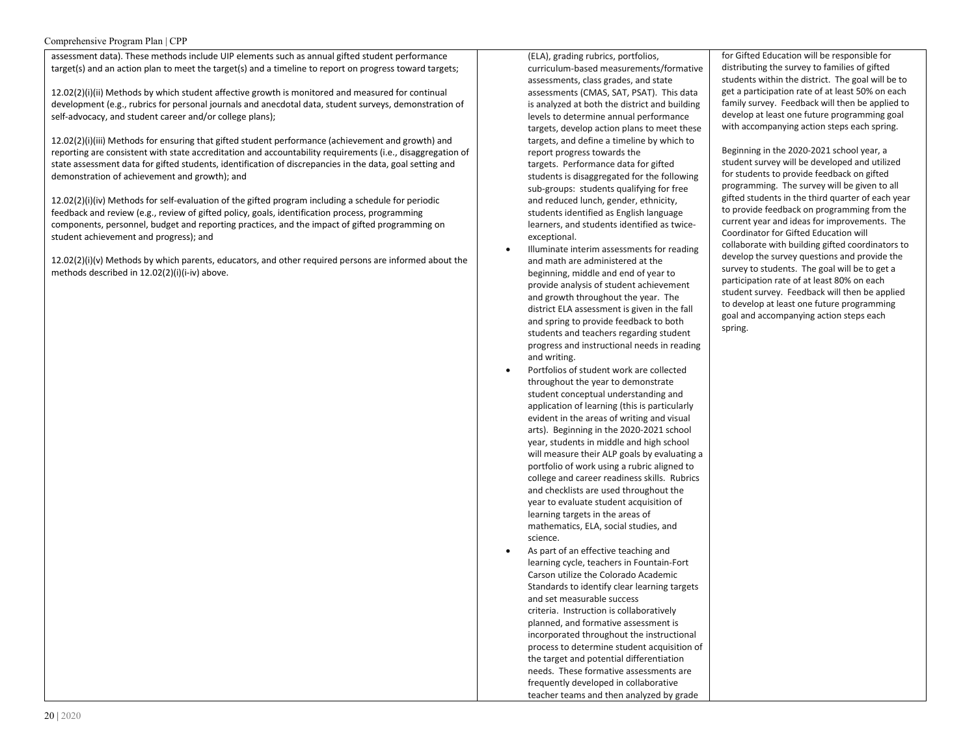#### Comprehensive Program Plan | CPP

assessment data). These methods include UIP elements such as annual gifted student performance target(s) and an action plan to meet the target(s) and a timeline to report on progress toward targets;

12.02(2)(i)(ii) Methods by which student affective growth is monitored and measured for continual development (e.g., rubrics for personal journals and anecdotal data, student surveys, demonstration of self-advocacy, and student career and/or college plans);

12.02(2)(i)(iii) Methods for ensuring that gifted student performance (achievement and growth) and reporting are consistent with state accreditation and accountability requirements (i.e., disaggregation of state assessment data for gifted students, identification of discrepancies in the data, goal setting and demonstration of achievement and growth); and

12.02(2)(i)(iv) Methods for self-evaluation of the gifted program including a schedule for periodic feedback and review (e.g., review of gifted policy, goals, identification process, programming components, personnel, budget and reporting practices, and the impact of gifted programming on student achievement and progress); and

12.02(2)(i)(v) Methods by which parents, educators, and other required persons are informed about the methods described in 12.02(2)(i)(i-iv) above.

(ELA), grading rubrics, portfolios, curriculum-based measurements/formative assessments, class grades, and state assessments (CMAS, SAT, PSAT). This data is analyzed at both the district and building levels to determine annual performance targets, develop action plans to meet these targets, and define a timeline by which to report progress towards the targets. Performance data for gifted students is disaggregated for the following sub-groups: students qualifying for free and reduced lunch, gender, ethnicity, students identified as English language learners, and students identified as twiceexceptional.

- Illuminate interim assessments for reading and math are administered at the beginning, middle and end of year to provide analysis of student achievement and growth throughout the year. The district ELA assessment is given in the fall and spring to provide feedback to both students and teachers regarding student progress and instructional needs in reading and writing.
- Portfolios of student work are collected throughout the year to demonstrate student conceptual understanding and application of learning (this is particularly evident in the areas of writing and visual arts). Beginning in the 2020-2021 school year, students in middle and high school will measure their ALP goals by evaluating a portfolio of work using a rubric aligned to college and career readiness skills. Rubrics and checklists are used throughout the year to evaluate student acquisition of learning targets in the areas of mathematics, ELA, social studies, and science.
- As part of an effective teaching and learning cycle, teachers in Fountain-Fort Carson utilize the Colorado Academic Standards to identify clear learning targets and set measurable success criteria. Instruction is collaboratively planned, and formative assessment is incorporated throughout the instructional process to determine student acquisition of the target and potential differentiation needs. These formative assessments are frequently developed in collaborative teacher teams and then analyzed by grade

for Gifted Education will be responsible for distributing the survey to families of gifted students within the district. The goal will be to get a participation rate of at least 50% on each family survey. Feedback will then be applied to develop at least one future programming goal with accompanying action steps each spring.

Beginning in the 2020-2021 school year, a student survey will be developed and utilized for students to provide feedback on gifted programming. The survey will be given to all gifted students in the third quarter of each year to provide feedback on programming from the current year and ideas for improvements. The Coordinator for Gifted Education will collaborate with building gifted coordinators to develop the survey questions and provide the survey to students. The goal will be to get a participation rate of at least 80% on each student survey. Feedback will then be applied to develop at least one future programming goal and accompanying action steps each spring.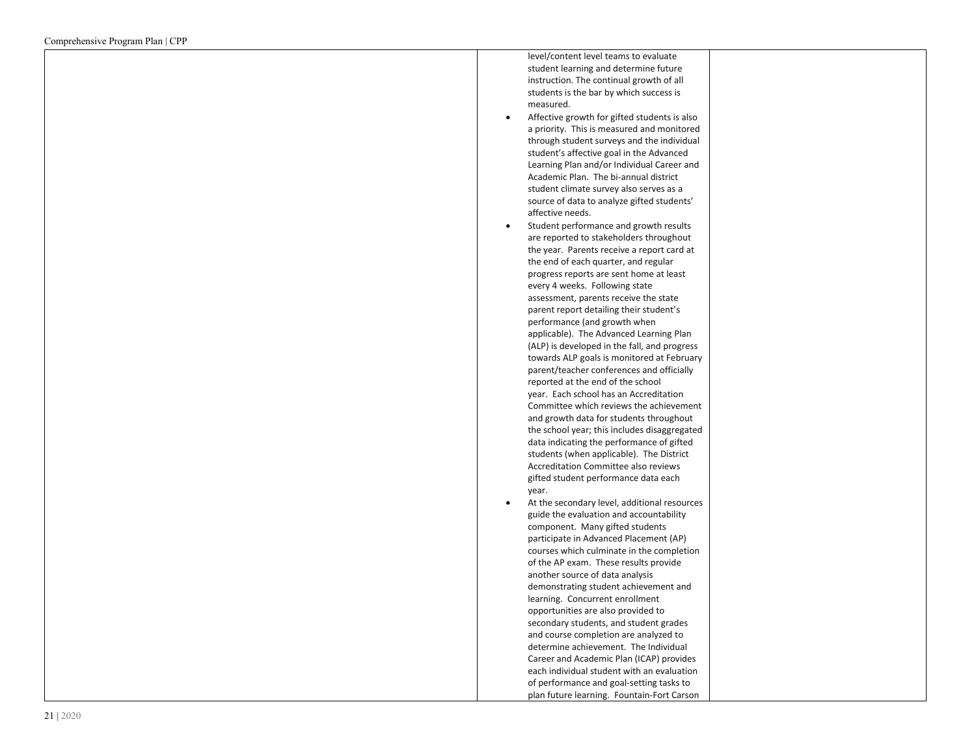level/content level teams to evaluate student learning and determine future instruction. The continual growth of all students is the bar by which success is measured. • Affective growth for gifted students is also

- a priority. This is measured and monitored through student surveys and the individual student's affective goal in the Advanced Learning Plan and/or Individual Career and Academic Plan. The bi -annual district student climate survey also serves as a source of data to analyze gifted students' affective needs.
- Student performance and growth results are reported to stakeholders throughout the year. Parents receive a report card at the end of each quarter, and regular progress reports are sent home at least every 4 weeks. Following state assessment, parents receive the state parent report detailing their student's performance (and growth when applicable). The Advanced Learning Plan (ALP) is developed in the fall, and progress towards ALP goals is monitored at February parent/teacher conferences and officially reported at the end of the school year. Each school has an Accreditation Committee which reviews the achievement and growth data for students throughout the school year; this includes disaggregated data indicating the performance of gifted students (when applicable). The District Accreditation Committee also reviews gifted student performance data each year.
- At the secondary level, additional resources guide the evaluation and accountability component. Many gifted students participate in Advanced Placement (AP) courses which culminate in the completion of the AP exam. These results provide another source of data analysis demonstrating student achievement and learning. Concurrent enrollment opportunities are also provided to secondary students, and student grades and course completion are analyzed to determine achievement. The Individual Career and Academic Plan (ICAP) provides each individual student with an evaluation of performance and goal -setting tasks to plan future learning. Fountain -Fort Carson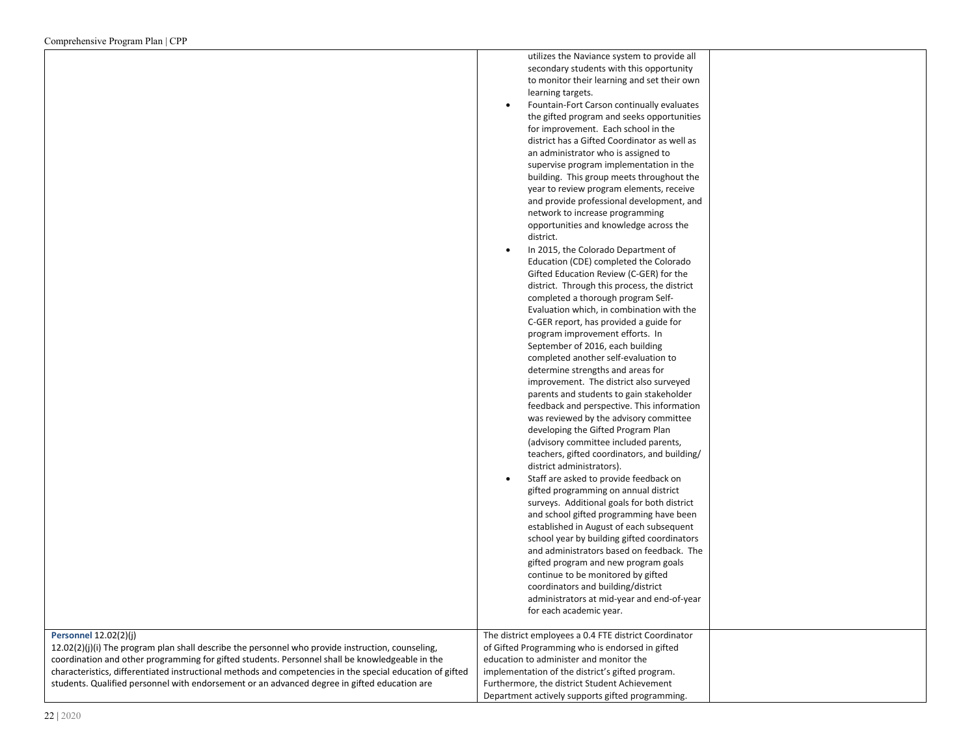|                                                                                                           | utilizes the Naviance system to provide all                                |  |
|-----------------------------------------------------------------------------------------------------------|----------------------------------------------------------------------------|--|
|                                                                                                           | secondary students with this opportunity                                   |  |
|                                                                                                           | to monitor their learning and set their own                                |  |
|                                                                                                           | learning targets.                                                          |  |
|                                                                                                           | Fountain-Fort Carson continually evaluates<br>$\bullet$                    |  |
|                                                                                                           | the gifted program and seeks opportunities                                 |  |
|                                                                                                           | for improvement. Each school in the                                        |  |
|                                                                                                           | district has a Gifted Coordinator as well as                               |  |
|                                                                                                           | an administrator who is assigned to                                        |  |
|                                                                                                           | supervise program implementation in the                                    |  |
|                                                                                                           | building. This group meets throughout the                                  |  |
|                                                                                                           | year to review program elements, receive                                   |  |
|                                                                                                           | and provide professional development, and                                  |  |
|                                                                                                           | network to increase programming                                            |  |
|                                                                                                           | opportunities and knowledge across the                                     |  |
|                                                                                                           | district.                                                                  |  |
|                                                                                                           | In 2015, the Colorado Department of<br>$\bullet$                           |  |
|                                                                                                           | Education (CDE) completed the Colorado                                     |  |
|                                                                                                           | Gifted Education Review (C-GER) for the                                    |  |
|                                                                                                           | district. Through this process, the district                               |  |
|                                                                                                           | completed a thorough program Self-                                         |  |
|                                                                                                           | Evaluation which, in combination with the                                  |  |
|                                                                                                           | C-GER report, has provided a guide for                                     |  |
|                                                                                                           | program improvement efforts. In                                            |  |
|                                                                                                           | September of 2016, each building                                           |  |
|                                                                                                           | completed another self-evaluation to                                       |  |
|                                                                                                           | determine strengths and areas for                                          |  |
|                                                                                                           | improvement. The district also surveyed                                    |  |
|                                                                                                           | parents and students to gain stakeholder                                   |  |
|                                                                                                           | feedback and perspective. This information                                 |  |
|                                                                                                           | was reviewed by the advisory committee                                     |  |
|                                                                                                           | developing the Gifted Program Plan                                         |  |
|                                                                                                           | (advisory committee included parents,                                      |  |
|                                                                                                           | teachers, gifted coordinators, and building/                               |  |
|                                                                                                           | district administrators).                                                  |  |
|                                                                                                           | Staff are asked to provide feedback on<br>$\bullet$                        |  |
|                                                                                                           | gifted programming on annual district                                      |  |
|                                                                                                           | surveys. Additional goals for both district                                |  |
|                                                                                                           | and school gifted programming have been                                    |  |
|                                                                                                           | established in August of each subsequent                                   |  |
|                                                                                                           | school year by building gifted coordinators                                |  |
|                                                                                                           | and administrators based on feedback. The                                  |  |
|                                                                                                           | gifted program and new program goals<br>continue to be monitored by gifted |  |
|                                                                                                           |                                                                            |  |
|                                                                                                           | coordinators and building/district                                         |  |
|                                                                                                           | administrators at mid-year and end-of-year<br>for each academic year.      |  |
|                                                                                                           |                                                                            |  |
| Personnel 12.02(2)(j)                                                                                     | The district employees a 0.4 FTE district Coordinator                      |  |
| $12.02(2)(j)(i)$ The program plan shall describe the personnel who provide instruction, counseling,       | of Gifted Programming who is endorsed in gifted                            |  |
| coordination and other programming for gifted students. Personnel shall be knowledgeable in the           | education to administer and monitor the                                    |  |
| characteristics, differentiated instructional methods and competencies in the special education of gifted | implementation of the district's gifted program.                           |  |
| students. Qualified personnel with endorsement or an advanced degree in gifted education are              | Furthermore, the district Student Achievement                              |  |
|                                                                                                           | Department actively supports gifted programming.                           |  |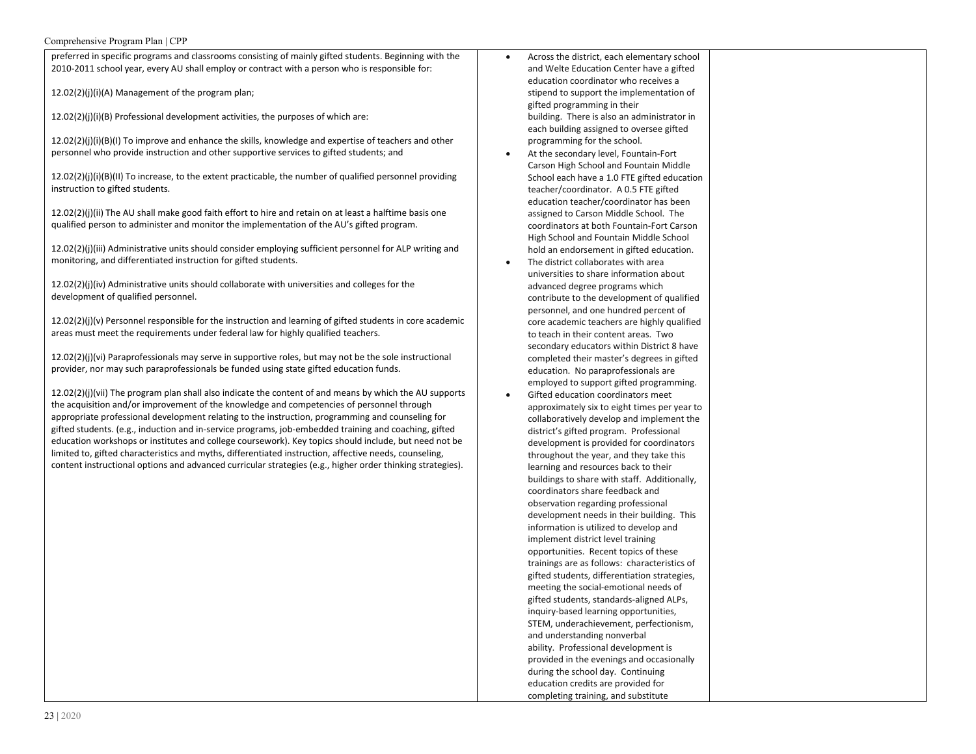# Comprehensive Program Plan | CPP

| preferred in specific programs and classrooms consisting of mainly gifted students. Beginning with the      | Across the district, each elementary school        |
|-------------------------------------------------------------------------------------------------------------|----------------------------------------------------|
| 2010-2011 school year, every AU shall employ or contract with a person who is responsible for:              | and Welte Education Center have a gifted           |
|                                                                                                             | education coordinator who receives a               |
| 12.02(2)(j)(i)(A) Management of the program plan;                                                           | stipend to support the implementation of           |
|                                                                                                             | gifted programming in their                        |
| 12.02(2)(j)(i)(B) Professional development activities, the purposes of which are:                           | building. There is also an administrator in        |
|                                                                                                             | each building assigned to oversee gifted           |
| 12.02(2)(j)(i)(B)(I) To improve and enhance the skills, knowledge and expertise of teachers and other       | programming for the school.                        |
| personnel who provide instruction and other supportive services to gifted students; and                     | At the secondary level, Fountain-Fort<br>$\bullet$ |
|                                                                                                             | Carson High School and Fountain Middle             |
| $12.02(2)(j)(i)(B)(II)$ To increase, to the extent practicable, the number of qualified personnel providing | School each have a 1.0 FTE gifted education        |
| instruction to gifted students.                                                                             | teacher/coordinator. A 0.5 FTE gifted              |
|                                                                                                             | education teacher/coordinator has been             |
| 12.02(2)(j)(ii) The AU shall make good faith effort to hire and retain on at least a halftime basis one     | assigned to Carson Middle School. The              |
| qualified person to administer and monitor the implementation of the AU's gifted program.                   | coordinators at both Fountain-Fort Carson          |
|                                                                                                             | High School and Fountain Middle School             |
| 12.02(2)(j)(iii) Administrative units should consider employing sufficient personnel for ALP writing and    | hold an endorsement in gifted education.           |
| monitoring, and differentiated instruction for gifted students.                                             | The district collaborates with area<br>$\bullet$   |
|                                                                                                             | universities to share information about            |
| $12.02(2)(j)(iv)$ Administrative units should collaborate with universities and colleges for the            | advanced degree programs which                     |
| development of qualified personnel.                                                                         | contribute to the development of qualified         |
|                                                                                                             | personnel, and one hundred percent of              |
| $12.02(2)(j)(v)$ Personnel responsible for the instruction and learning of gifted students in core academic | core academic teachers are highly qualified        |
| areas must meet the requirements under federal law for highly qualified teachers.                           | to teach in their content areas. Two               |
|                                                                                                             | secondary educators within District 8 have         |
| $12.02(2)(j)(vi)$ Paraprofessionals may serve in supportive roles, but may not be the sole instructional    | completed their master's degrees in gifted         |
| provider, nor may such paraprofessionals be funded using state gifted education funds.                      | education. No paraprofessionals are                |
|                                                                                                             | employed to support gifted programming.            |
| 12.02(2)(j)(vii) The program plan shall also indicate the content of and means by which the AU supports     | Gifted education coordinators meet<br>$\bullet$    |
| the acquisition and/or improvement of the knowledge and competencies of personnel through                   | approximately six to eight times per year to       |
| appropriate professional development relating to the instruction, programming and counseling for            | collaboratively develop and implement the          |
| gifted students. (e.g., induction and in-service programs, job-embedded training and coaching, gifted       | district's gifted program. Professional            |
| education workshops or institutes and college coursework). Key topics should include, but need not be       | development is provided for coordinators           |
| limited to, gifted characteristics and myths, differentiated instruction, affective needs, counseling,      | throughout the year, and they take this            |
| content instructional options and advanced curricular strategies (e.g., higher order thinking strategies).  | learning and resources back to their               |
|                                                                                                             | buildings to share with staff. Additionally,       |
|                                                                                                             | coordinators share feedback and                    |
|                                                                                                             | observation regarding professional                 |
|                                                                                                             | development needs in their building. This          |
|                                                                                                             | information is utilized to develop and             |
|                                                                                                             | implement district level training                  |
|                                                                                                             | opportunities. Recent topics of these              |
|                                                                                                             | trainings are as follows: characteristics of       |
|                                                                                                             | gifted students, differentiation strategies,       |
|                                                                                                             | meeting the social-emotional needs of              |
|                                                                                                             | gifted students, standards-aligned ALPs,           |
|                                                                                                             | inquiry-based learning opportunities,              |
|                                                                                                             | STEM, underachievement, perfectionism,             |
|                                                                                                             | and understanding nonverbal                        |
|                                                                                                             | ability. Professional development is               |
|                                                                                                             | provided in the evenings and occasionally          |
|                                                                                                             | during the school day. Continuing                  |
|                                                                                                             | education credits are provided for                 |
|                                                                                                             | completing training, and substitute                |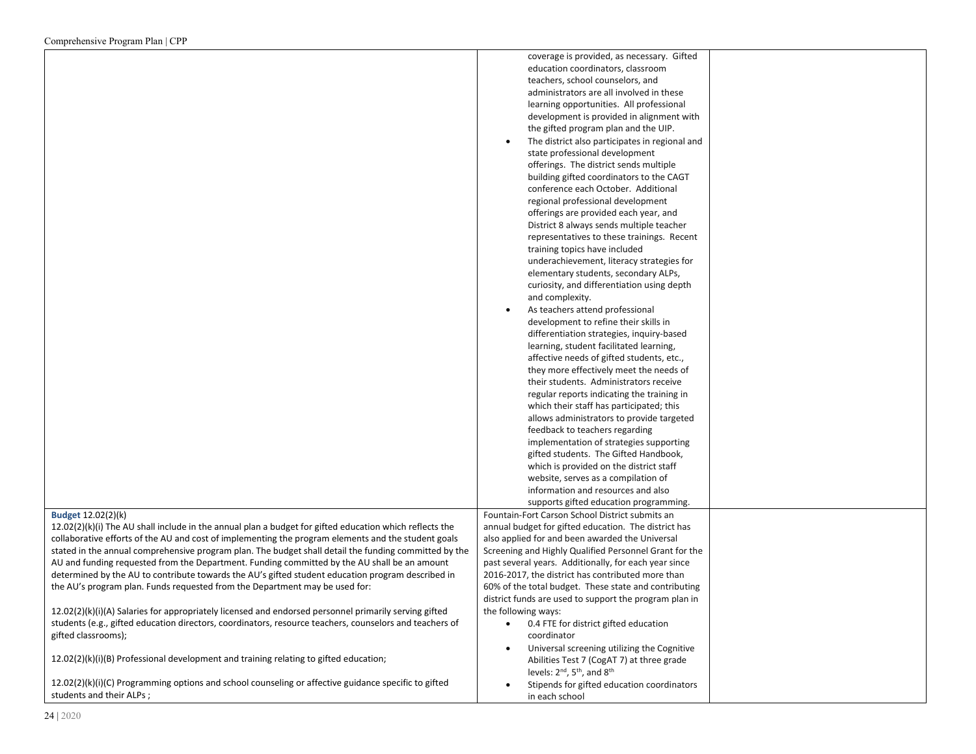|                                                                                                           | coverage is provided, as necessary. Gifted                      |  |
|-----------------------------------------------------------------------------------------------------------|-----------------------------------------------------------------|--|
|                                                                                                           | education coordinators, classroom                               |  |
|                                                                                                           | teachers, school counselors, and                                |  |
|                                                                                                           |                                                                 |  |
|                                                                                                           | administrators are all involved in these                        |  |
|                                                                                                           | learning opportunities. All professional                        |  |
|                                                                                                           | development is provided in alignment with                       |  |
|                                                                                                           | the gifted program plan and the UIP.                            |  |
|                                                                                                           | The district also participates in regional and                  |  |
|                                                                                                           |                                                                 |  |
|                                                                                                           | state professional development                                  |  |
|                                                                                                           | offerings. The district sends multiple                          |  |
|                                                                                                           | building gifted coordinators to the CAGT                        |  |
|                                                                                                           | conference each October. Additional                             |  |
|                                                                                                           | regional professional development                               |  |
|                                                                                                           | offerings are provided each year, and                           |  |
|                                                                                                           |                                                                 |  |
|                                                                                                           | District 8 always sends multiple teacher                        |  |
|                                                                                                           | representatives to these trainings. Recent                      |  |
|                                                                                                           | training topics have included                                   |  |
|                                                                                                           | underachievement, literacy strategies for                       |  |
|                                                                                                           | elementary students, secondary ALPs,                            |  |
|                                                                                                           | curiosity, and differentiation using depth                      |  |
|                                                                                                           |                                                                 |  |
|                                                                                                           | and complexity.                                                 |  |
|                                                                                                           | As teachers attend professional<br>$\bullet$                    |  |
|                                                                                                           | development to refine their skills in                           |  |
|                                                                                                           | differentiation strategies, inquiry-based                       |  |
|                                                                                                           | learning, student facilitated learning,                         |  |
|                                                                                                           | affective needs of gifted students, etc.,                       |  |
|                                                                                                           | they more effectively meet the needs of                         |  |
|                                                                                                           | their students. Administrators receive                          |  |
|                                                                                                           |                                                                 |  |
|                                                                                                           | regular reports indicating the training in                      |  |
|                                                                                                           | which their staff has participated; this                        |  |
|                                                                                                           | allows administrators to provide targeted                       |  |
|                                                                                                           | feedback to teachers regarding                                  |  |
|                                                                                                           | implementation of strategies supporting                         |  |
|                                                                                                           | gifted students. The Gifted Handbook,                           |  |
|                                                                                                           | which is provided on the district staff                         |  |
|                                                                                                           |                                                                 |  |
|                                                                                                           | website, serves as a compilation of                             |  |
|                                                                                                           | information and resources and also                              |  |
|                                                                                                           | supports gifted education programming.                          |  |
| Budget 12.02(2)(k)                                                                                        | Fountain-Fort Carson School District submits an                 |  |
| $12.02(2)(k)(i)$ The AU shall include in the annual plan a budget for gifted education which reflects the | annual budget for gifted education. The district has            |  |
| collaborative efforts of the AU and cost of implementing the program elements and the student goals       | also applied for and been awarded the Universal                 |  |
| stated in the annual comprehensive program plan. The budget shall detail the funding committed by the     | Screening and Highly Qualified Personnel Grant for the          |  |
| AU and funding requested from the Department. Funding committed by the AU shall be an amount              | past several years. Additionally, for each year since           |  |
|                                                                                                           |                                                                 |  |
| determined by the AU to contribute towards the AU's gifted student education program described in         | 2016-2017, the district has contributed more than               |  |
| the AU's program plan. Funds requested from the Department may be used for:                               | 60% of the total budget. These state and contributing           |  |
|                                                                                                           | district funds are used to support the program plan in          |  |
| 12.02(2)(k)(i)(A) Salaries for appropriately licensed and endorsed personnel primarily serving gifted     | the following ways:                                             |  |
| students (e.g., gifted education directors, coordinators, resource teachers, counselors and teachers of   | 0.4 FTE for district gifted education                           |  |
| gifted classrooms);                                                                                       | coordinator                                                     |  |
|                                                                                                           | Universal screening utilizing the Cognitive                     |  |
| $12.02(2)(k)(i)(B)$ Professional development and training relating to gifted education;                   |                                                                 |  |
|                                                                                                           | Abilities Test 7 (CogAT 7) at three grade                       |  |
|                                                                                                           | levels: 2 <sup>nd</sup> , 5 <sup>th</sup> , and 8 <sup>th</sup> |  |
| 12.02(2)(k)(i)(C) Programming options and school counseling or affective guidance specific to gifted      | Stipends for gifted education coordinators                      |  |
| students and their ALPs;                                                                                  | in each school                                                  |  |
|                                                                                                           |                                                                 |  |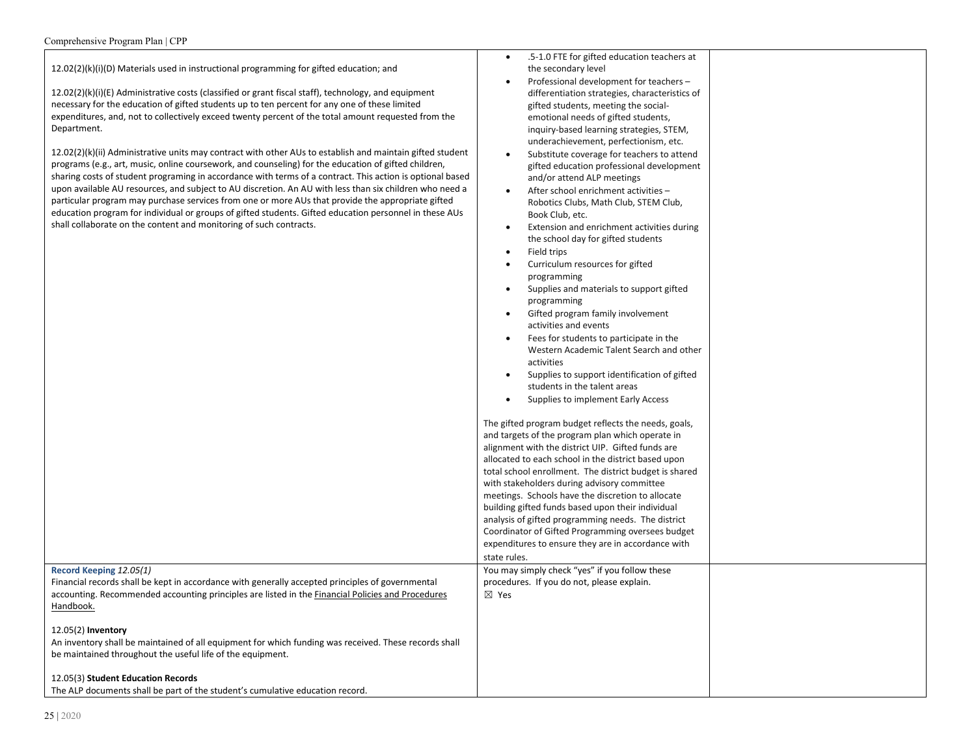$12.02(2)(k)(i)(D)$  Materials used in instructional programming for gifted education; and

12.02(2)(k)(i)(E) Administrative costs (classified or grant fiscal staff), technology, and equipment necessary for the education of gifted students up to ten percent for any one of these limited expenditures, and, not to collectively exceed twenty percent of the total amount requested from the Department.

12.02(2)(k)(ii) Administrative units may contract with other AUs to establish and maintain gifted student programs (e.g., art, music, online coursework, and counseling) for the education of gifted children, sharing costs of student programing in accordance with terms of a contract. This action is optional based upon available AU resources, and subject to AU discretion. An AU with less than six children who need a particular program may purchase services from one or more AUs that provide the appropriate gifted education program for individual or groups of gifted students. Gifted education personnel in these AUs shall collaborate on the content and monitoring of such contracts.

- .5-1.0 FTE for gifted education teachers at the secondary level
- Professional development for teachers differentiation strategies, characteristics of gifted students, meeting the socialemotional needs of gifted students, inquiry-based learning strategies, STEM, underachievement, perfectionism, etc.
- Substitute coverage for teachers to attend gifted education professional development and/or attend ALP meetings
- After school enrichment activities Robotics Clubs, Math Club, STEM Club, Book Club, etc.
- Extension and enrichment activities during the school day for gifted students
- Field trips
- Curriculum resources for gifted programming
- Supplies and materials to support gifted programming
- Gifted program family involvement activities and events
- Fees for students to participate in the Western Academic Talent Search and other activities
- Supplies to support identification of gifted students in the talent areas
- Supplies to implement Early Access

The gifted program budget reflects the needs, goals, and targets of the program plan which operate in alignment with the district UIP. Gifted funds are allocated to each school in the district based upon total school enrollment. The district budget is shared with stakeholders during advisory committee meetings. Schools have the discretion to allocate building gifted funds based upon their individual analysis of gifted programming needs. The district Coordinator of Gifted Programming oversees budget expenditures to ensure they are in accordance with state rules. You may simply check "yes" if you follow these procedures. If you do not, please explain. ☒ Yes

# 12.05(3) **Student Education Records**

**Record Keeping** *12.05(1)*

The ALP documents shall be part of the student's cumulative education record.

be maintained throughout the useful life of the equipment.

Financial records shall be kept in accordance with generally accepted principles of governmental accounting. Recommended accounting principles are listed in the Financial Policies and Procedures

An inventory shall be maintained of all equipment for which funding was received. These records shall

Handbook.

12.05(2) **Inventory**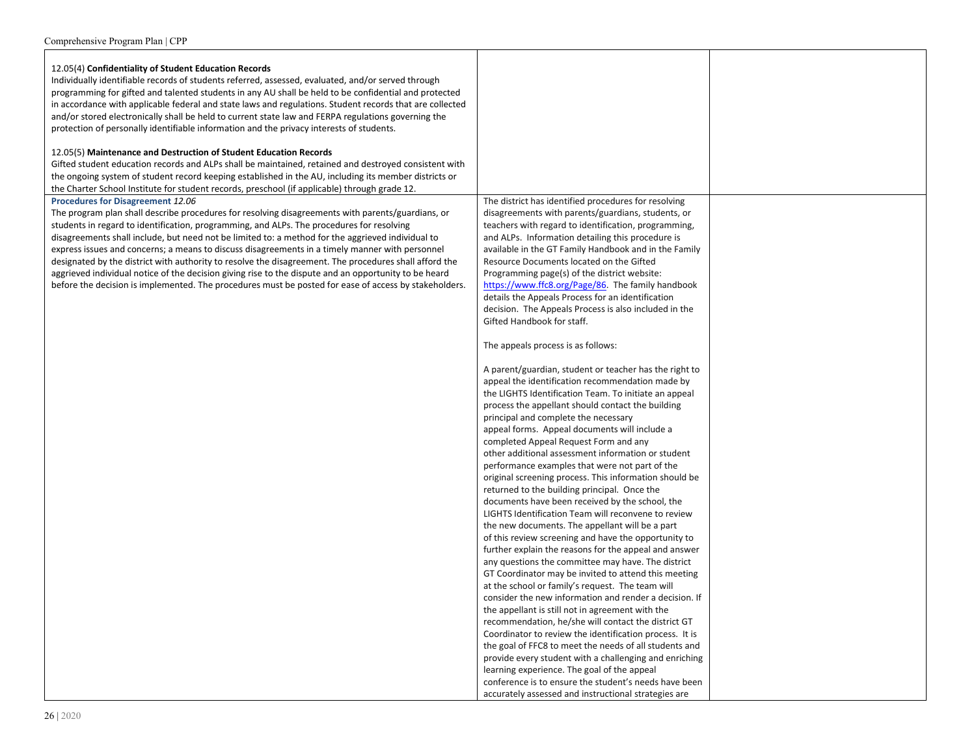| 12.05(4) Confidentiality of Student Education Records<br>Individually identifiable records of students referred, assessed, evaluated, and/or served through<br>programming for gifted and talented students in any AU shall be held to be confidential and protected<br>in accordance with applicable federal and state laws and regulations. Student records that are collected<br>and/or stored electronically shall be held to current state law and FERPA regulations governing the<br>protection of personally identifiable information and the privacy interests of students.                                                                                                                                                                                                                                                                                      |                                                                                                                                                                                                                                                                                                                                                                                                                                                                                                                                                 |  |
|--------------------------------------------------------------------------------------------------------------------------------------------------------------------------------------------------------------------------------------------------------------------------------------------------------------------------------------------------------------------------------------------------------------------------------------------------------------------------------------------------------------------------------------------------------------------------------------------------------------------------------------------------------------------------------------------------------------------------------------------------------------------------------------------------------------------------------------------------------------------------|-------------------------------------------------------------------------------------------------------------------------------------------------------------------------------------------------------------------------------------------------------------------------------------------------------------------------------------------------------------------------------------------------------------------------------------------------------------------------------------------------------------------------------------------------|--|
| 12.05(5) Maintenance and Destruction of Student Education Records<br>Gifted student education records and ALPs shall be maintained, retained and destroyed consistent with<br>the ongoing system of student record keeping established in the AU, including its member districts or                                                                                                                                                                                                                                                                                                                                                                                                                                                                                                                                                                                      |                                                                                                                                                                                                                                                                                                                                                                                                                                                                                                                                                 |  |
| the Charter School Institute for student records, preschool (if applicable) through grade 12.<br>Procedures for Disagreement 12.06<br>The program plan shall describe procedures for resolving disagreements with parents/guardians, or<br>students in regard to identification, programming, and ALPs. The procedures for resolving<br>disagreements shall include, but need not be limited to: a method for the aggrieved individual to<br>express issues and concerns; a means to discuss disagreements in a timely manner with personnel<br>designated by the district with authority to resolve the disagreement. The procedures shall afford the<br>aggrieved individual notice of the decision giving rise to the dispute and an opportunity to be heard<br>before the decision is implemented. The procedures must be posted for ease of access by stakeholders. | The district has identified procedures for resolving<br>disagreements with parents/guardians, students, or<br>teachers with regard to identification, programming,<br>and ALPs. Information detailing this procedure is<br>available in the GT Family Handbook and in the Family<br>Resource Documents located on the Gifted<br>Programming page(s) of the district website:<br>https://www.ffc8.org/Page/86. The family handbook<br>details the Appeals Process for an identification<br>decision. The Appeals Process is also included in the |  |
|                                                                                                                                                                                                                                                                                                                                                                                                                                                                                                                                                                                                                                                                                                                                                                                                                                                                          | Gifted Handbook for staff.<br>The appeals process is as follows:                                                                                                                                                                                                                                                                                                                                                                                                                                                                                |  |
|                                                                                                                                                                                                                                                                                                                                                                                                                                                                                                                                                                                                                                                                                                                                                                                                                                                                          | A parent/guardian, student or teacher has the right to<br>appeal the identification recommendation made by<br>the LIGHTS Identification Team. To initiate an appeal<br>process the appellant should contact the building                                                                                                                                                                                                                                                                                                                        |  |
|                                                                                                                                                                                                                                                                                                                                                                                                                                                                                                                                                                                                                                                                                                                                                                                                                                                                          | principal and complete the necessary<br>appeal forms. Appeal documents will include a<br>completed Appeal Request Form and any<br>other additional assessment information or student                                                                                                                                                                                                                                                                                                                                                            |  |
|                                                                                                                                                                                                                                                                                                                                                                                                                                                                                                                                                                                                                                                                                                                                                                                                                                                                          | performance examples that were not part of the<br>original screening process. This information should be<br>returned to the building principal. Once the<br>documents have been received by the school, the                                                                                                                                                                                                                                                                                                                                     |  |
|                                                                                                                                                                                                                                                                                                                                                                                                                                                                                                                                                                                                                                                                                                                                                                                                                                                                          | LIGHTS Identification Team will reconvene to review<br>the new documents. The appellant will be a part<br>of this review screening and have the opportunity to                                                                                                                                                                                                                                                                                                                                                                                  |  |
|                                                                                                                                                                                                                                                                                                                                                                                                                                                                                                                                                                                                                                                                                                                                                                                                                                                                          | further explain the reasons for the appeal and answer<br>any questions the committee may have. The district<br>GT Coordinator may be invited to attend this meeting<br>at the school or family's request. The team will                                                                                                                                                                                                                                                                                                                         |  |
|                                                                                                                                                                                                                                                                                                                                                                                                                                                                                                                                                                                                                                                                                                                                                                                                                                                                          | consider the new information and render a decision. If<br>the appellant is still not in agreement with the<br>recommendation, he/she will contact the district GT<br>Coordinator to review the identification process. It is                                                                                                                                                                                                                                                                                                                    |  |
|                                                                                                                                                                                                                                                                                                                                                                                                                                                                                                                                                                                                                                                                                                                                                                                                                                                                          | the goal of FFC8 to meet the needs of all students and<br>provide every student with a challenging and enriching<br>learning experience. The goal of the appeal<br>conference is to ensure the student's needs have been<br>accurately assessed and instructional strategies are                                                                                                                                                                                                                                                                |  |